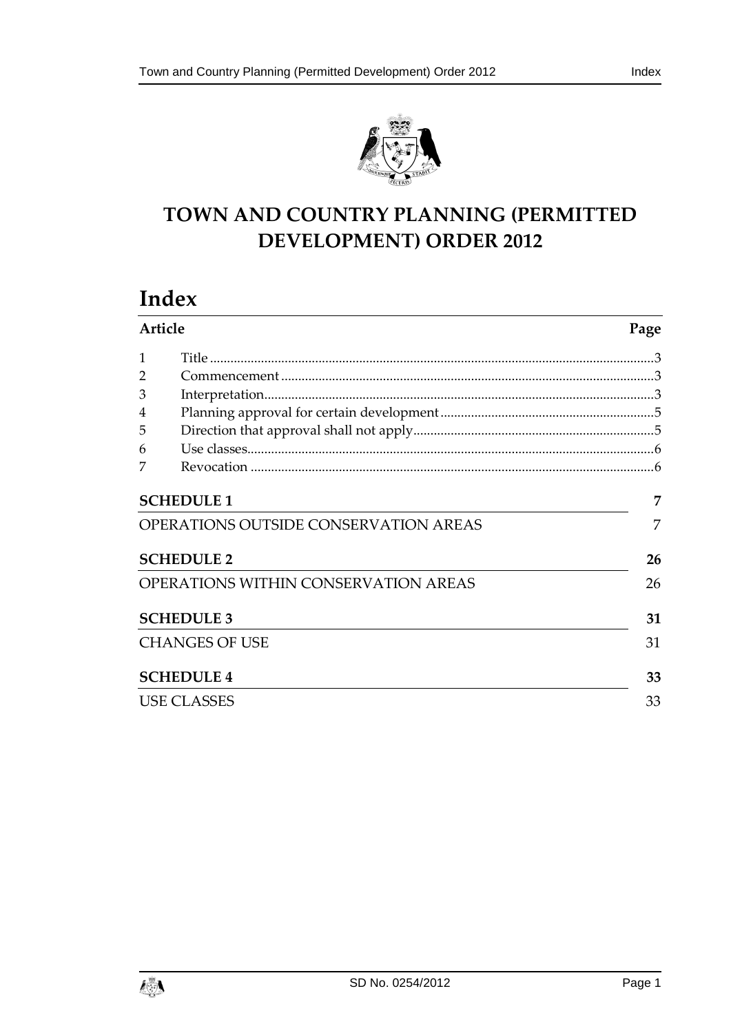



# **TOWN AND COUNTRY PLANNING (PERMITTED DEVELOPMENT) ORDER 2012**

# **Index**

| Article                                      |                   | Page |
|----------------------------------------------|-------------------|------|
| 1                                            |                   |      |
| 2                                            |                   |      |
| 3                                            |                   |      |
| 4                                            |                   |      |
| 5                                            |                   |      |
| 6                                            |                   |      |
|                                              |                   |      |
|                                              | <b>SCHEDULE 1</b> | 7    |
| <b>OPERATIONS OUTSIDE CONSERVATION AREAS</b> | 7                 |      |
| <b>SCHEDULE 2</b>                            |                   | 26   |
| OPERATIONS WITHIN CONSERVATION AREAS         |                   | 26   |
|                                              | <b>SCHEDULE 3</b> | 31   |
| <b>CHANGES OF USE</b>                        |                   | 31   |
|                                              | <b>SCHEDULE 4</b> | 33   |
| <b>USE CLASSES</b>                           |                   | 33   |

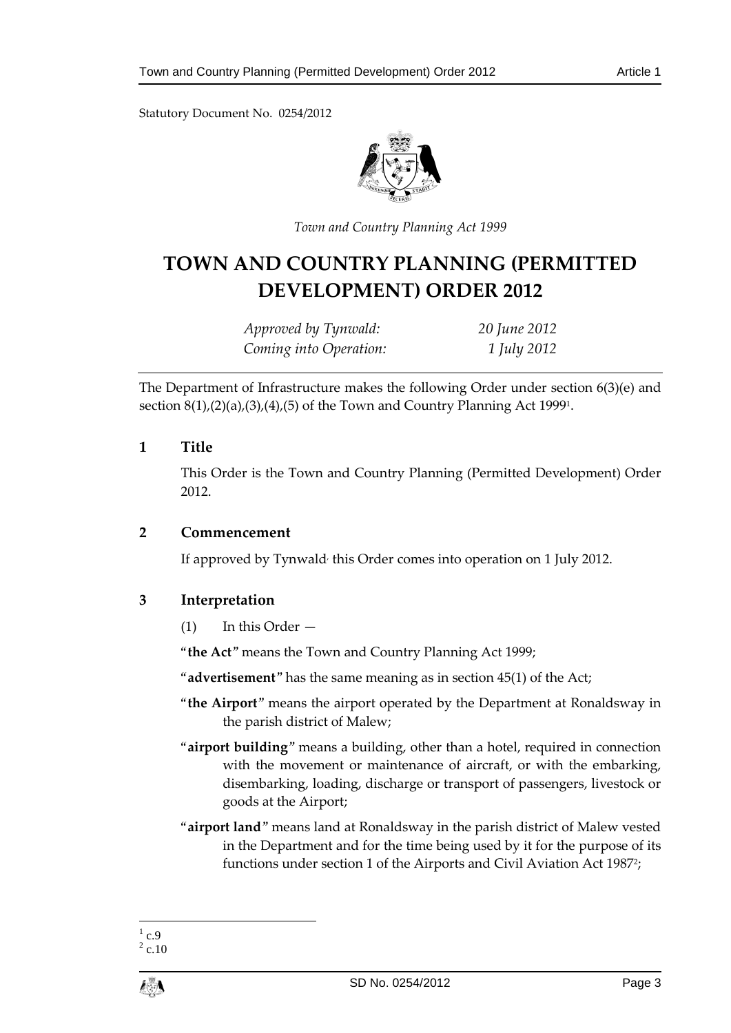Statutory Document No. 0254/2012



*Town and Country Planning Act 1999*

# **TOWN AND COUNTRY PLANNING (PERMITTED DEVELOPMENT) ORDER 2012**

| Approved by Tynwald:   | 20 June 2012 |
|------------------------|--------------|
| Coming into Operation: | 1 July 2012  |

The Department of Infrastructure makes the following Order under section 6(3)(e) and section 8(1),(2)(a),(3),(4),(5) of the Town and Country Planning Act 1999<sup>1</sup> .

# <span id="page-2-0"></span>**1 Title**

This Order is the Town and Country Planning (Permitted Development) Order 2012.

# <span id="page-2-1"></span>**2 Commencement**

If approved by Tynwald, this Order comes into operation on 1 July 2012.

# <span id="page-2-2"></span>**3 Interpretation**

(1) In this Order —

"**the Act**" means the Town and Country Planning Act 1999;

"**advertisement**" has the same meaning as in section 45(1) of the Act;

- "**the Airport**" means the airport operated by the Department at Ronaldsway in the parish district of Malew;
- "**airport building**" means a building, other than a hotel, required in connection with the movement or maintenance of aircraft, or with the embarking, disembarking, loading, discharge or transport of passengers, livestock or goods at the Airport;
- "**airport land**" means land at Ronaldsway in the parish district of Malew vested in the Department and for the time being used by it for the purpose of its functions under section 1 of the Airports and Civil Aviation Act 1987<sup>2</sup>;

 $\frac{1}{1}$  c.9

 $^{2}$  c.10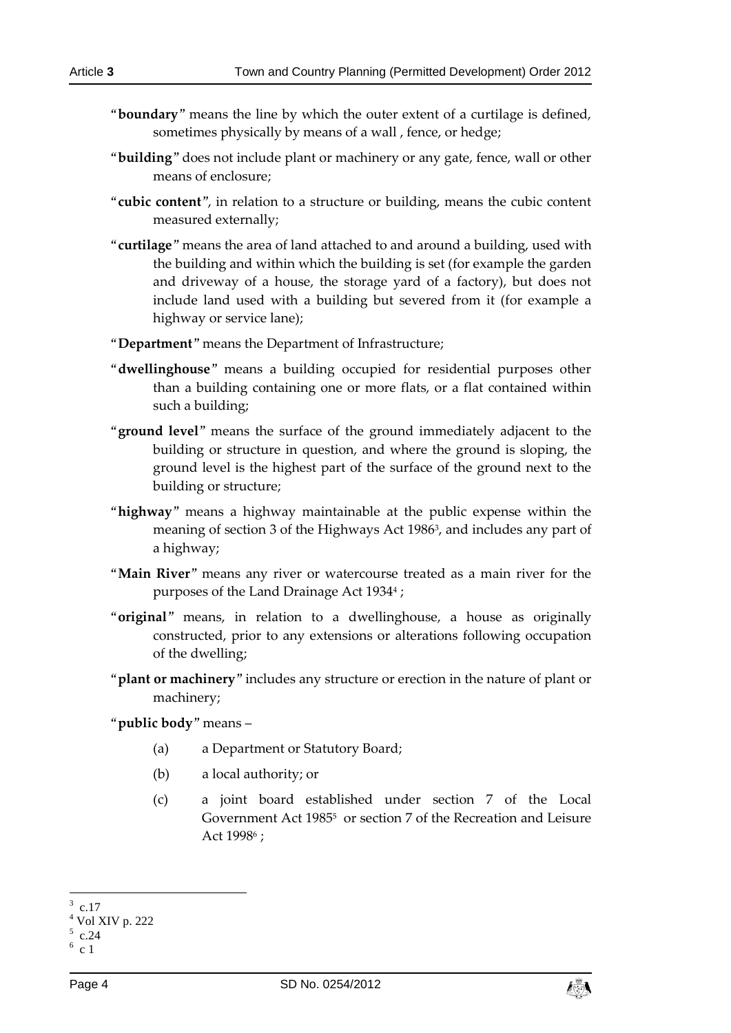- "**boundary**" means the line by which the outer extent of a curtilage is defined, sometimes physically by means of a wall , fence, or hedge;
- "**building**" does not include plant or machinery or any gate, fence, wall or other means of enclosure;
- "**cubic content**", in relation to a structure or building, means the cubic content measured externally;
- "**curtilage**" means the area of land attached to and around a building, used with the building and within which the building is set (for example the garden and driveway of a house, the storage yard of a factory), but does not include land used with a building but severed from it (for example a highway or service lane);
- "**Department**" means the Department of Infrastructure;
- "**dwellinghouse**" means a building occupied for residential purposes other than a building containing one or more flats, or a flat contained within such a building;
- "**ground level**" means the surface of the ground immediately adjacent to the building or structure in question, and where the ground is sloping, the ground level is the highest part of the surface of the ground next to the building or structure;
- "**highway**" means a highway maintainable at the public expense within the meaning of section 3 of the Highways Act 1986<sup>3</sup> , and includes any part of a highway;
- "**Main River**" means any river or watercourse treated as a main river for the purposes of the Land Drainage Act 1934<sup>4</sup> ;
- "**original**" means, in relation to a dwellinghouse, a house as originally constructed, prior to any extensions or alterations following occupation of the dwelling;
- "**plant or machinery**" includes any structure or erection in the nature of plant or machinery;

"**public body**" means –

- (a) a Department or Statutory Board;
- (b) a local authority; or
- (c) a joint board established under section 7 of the Local Government Act 1985<sup>5</sup> or section 7 of the Recreation and Leisure Act 1998<sup>6</sup> ;

-



<sup>3</sup> c.17

<sup>4</sup> Vol XIV p. 222

 $5$  c.24  $6c1$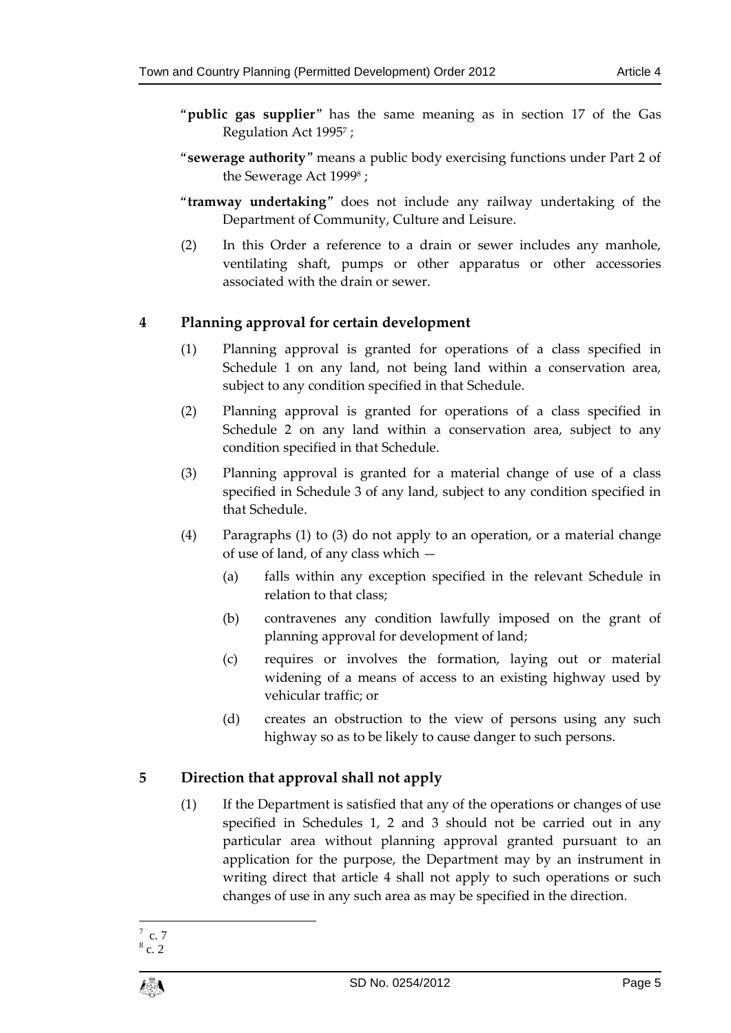- "**public gas supplier**" has the same meaning as in section 17 of the Gas Regulation Act 1995<sup>7</sup> ;
- "**sewerage authority**" means a public body exercising functions under Part 2 of the Sewerage Act 1999<sup>8</sup> ;
- "**tramway undertaking**" does not include any railway undertaking of the Department of Community, Culture and Leisure.
- (2) In this Order a reference to a drain or sewer includes any manhole, ventilating shaft, pumps or other apparatus or other accessories associated with the drain or sewer.

# <span id="page-4-0"></span>**4 Planning approval for certain development**

- (1) Planning approval is granted for operations of a class specified in Schedule 1 on any land, not being land within a conservation area, subject to any condition specified in that Schedule.
- (2) Planning approval is granted for operations of a class specified in Schedule 2 on any land within a conservation area, subject to any condition specified in that Schedule.
- (3) Planning approval is granted for a material change of use of a class specified in Schedule 3 of any land, subject to any condition specified in that Schedule.
- (4) Paragraphs (1) to (3) do not apply to an operation, or a material change of use of land, of any class which —
	- (a) falls within any exception specified in the relevant Schedule in relation to that class;
	- (b) contravenes any condition lawfully imposed on the grant of planning approval for development of land;
	- (c) requires or involves the formation, laying out or material widening of a means of access to an existing highway used by vehicular traffic; or
	- (d) creates an obstruction to the view of persons using any such highway so as to be likely to cause danger to such persons.

# <span id="page-4-1"></span>**5 Direction that approval shall not apply**

(1) If the Department is satisfied that any of the operations or changes of use specified in Schedules 1, 2 and 3 should not be carried out in any particular area without planning approval granted pursuant to an application for the purpose, the Department may by an instrument in writing direct that article 4 shall not apply to such operations or such changes of use in any such area as may be specified in the direction.

 $\frac{1}{7}$  c. 7

 $8c.2$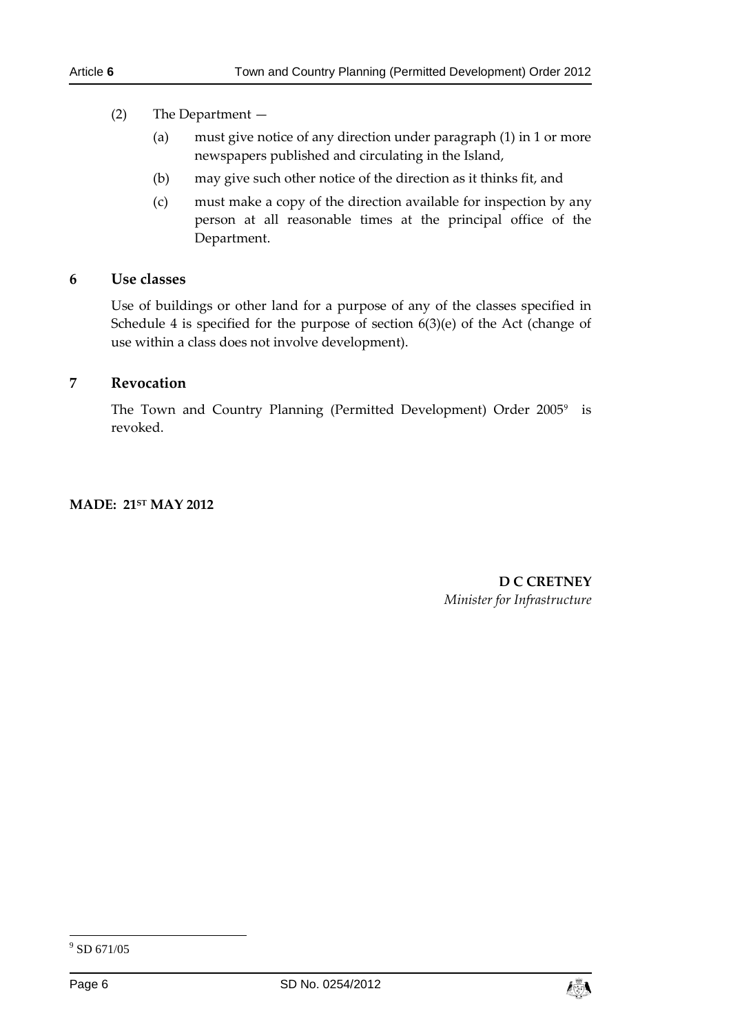## (2) The Department —

- (a) must give notice of any direction under paragraph (1) in 1 or more newspapers published and circulating in the Island,
- (b) may give such other notice of the direction as it thinks fit, and
- (c) must make a copy of the direction available for inspection by any person at all reasonable times at the principal office of the Department.

#### <span id="page-5-0"></span>**6 Use classes**

Use of buildings or other land for a purpose of any of the classes specified in Schedule 4 is specified for the purpose of section 6(3)(e) of the Act (change of use within a class does not involve development).

# <span id="page-5-1"></span>**7 Revocation**

The Town and Country Planning (Permitted Development) Order 2005<sup>9</sup> is revoked.

## **MADE: 21ST MAY 2012**

**D C CRETNEY**  *Minister for Infrastructure*

-



<sup>9</sup> SD 671/05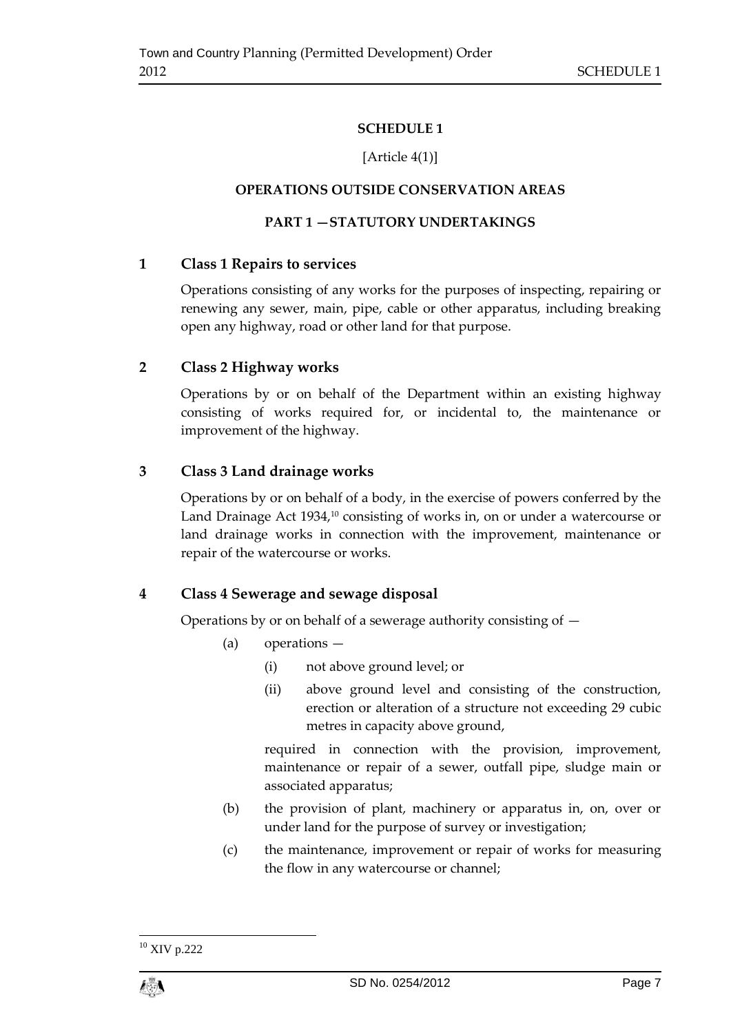# **SCHEDULE 1**

# [Article 4(1)]

# <span id="page-6-0"></span>**OPERATIONS OUTSIDE CONSERVATION AREAS**

# **PART 1 —STATUTORY UNDERTAKINGS**

# <span id="page-6-1"></span>**1 Class 1 Repairs to services**

Operations consisting of any works for the purposes of inspecting, repairing or renewing any sewer, main, pipe, cable or other apparatus, including breaking open any highway, road or other land for that purpose.

# **2 Class 2 Highway works**

Operations by or on behalf of the Department within an existing highway consisting of works required for, or incidental to, the maintenance or improvement of the highway.

# **3 Class 3 Land drainage works**

Operations by or on behalf of a body, in the exercise of powers conferred by the Land Drainage Act 1934,<sup>10</sup> consisting of works in, on or under a watercourse or land drainage works in connection with the improvement, maintenance or repair of the watercourse or works.

# **4 Class 4 Sewerage and sewage disposal**

Operations by or on behalf of a sewerage authority consisting of —

- (a) operations
	- (i) not above ground level; or
	- (ii) above ground level and consisting of the construction, erection or alteration of a structure not exceeding 29 cubic metres in capacity above ground,

required in connection with the provision, improvement, maintenance or repair of a sewer, outfall pipe, sludge main or associated apparatus;

- (b) the provision of plant, machinery or apparatus in, on, over or under land for the purpose of survey or investigation;
- (c) the maintenance, improvement or repair of works for measuring the flow in any watercourse or channel;

<sup>1</sup> <sup>10</sup> XIV p.222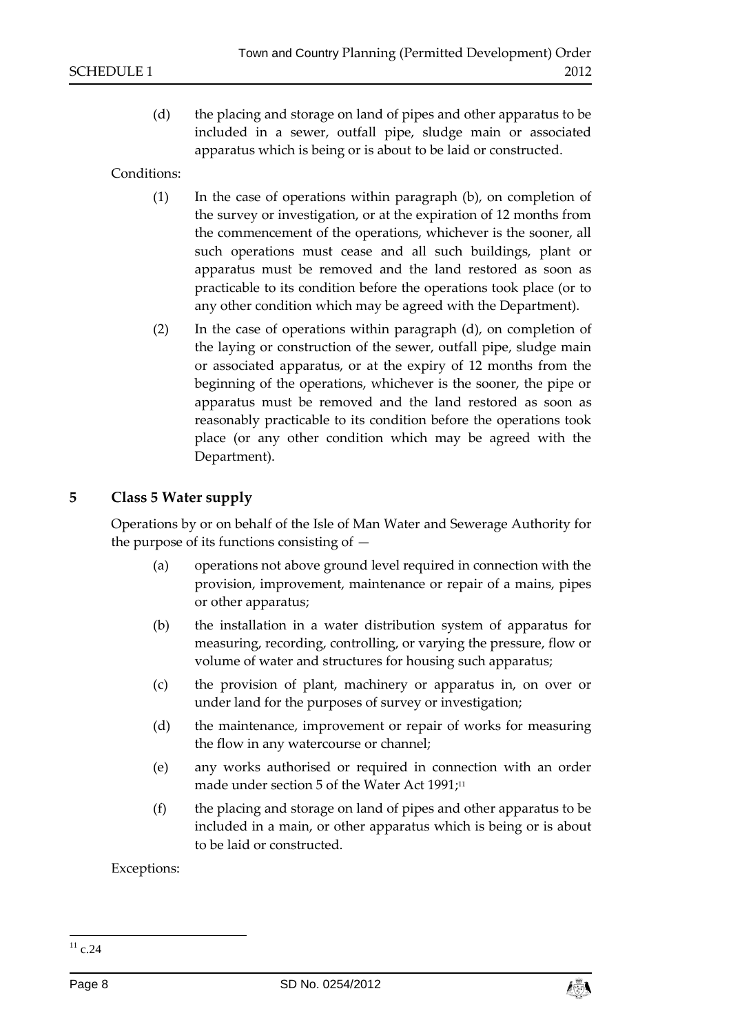(d) the placing and storage on land of pipes and other apparatus to be included in a sewer, outfall pipe, sludge main or associated apparatus which is being or is about to be laid or constructed.

Conditions:

- (1) In the case of operations within paragraph (b), on completion of the survey or investigation, or at the expiration of 12 months from the commencement of the operations, whichever is the sooner, all such operations must cease and all such buildings, plant or apparatus must be removed and the land restored as soon as practicable to its condition before the operations took place (or to any other condition which may be agreed with the Department).
- (2) In the case of operations within paragraph (d), on completion of the laying or construction of the sewer, outfall pipe, sludge main or associated apparatus, or at the expiry of 12 months from the beginning of the operations, whichever is the sooner, the pipe or apparatus must be removed and the land restored as soon as reasonably practicable to its condition before the operations took place (or any other condition which may be agreed with the Department).

# **5 Class 5 Water supply**

Operations by or on behalf of the Isle of Man Water and Sewerage Authority for the purpose of its functions consisting of —

- (a) operations not above ground level required in connection with the provision, improvement, maintenance or repair of a mains, pipes or other apparatus;
- (b) the installation in a water distribution system of apparatus for measuring, recording, controlling, or varying the pressure, flow or volume of water and structures for housing such apparatus;
- (c) the provision of plant, machinery or apparatus in, on over or under land for the purposes of survey or investigation;
- (d) the maintenance, improvement or repair of works for measuring the flow in any watercourse or channel;
- (e) any works authorised or required in connection with an order made under section 5 of the Water Act 1991; 11
- (f) the placing and storage on land of pipes and other apparatus to be included in a main, or other apparatus which is being or is about to be laid or constructed.

Exceptions:

-



 $^{11}$  c.24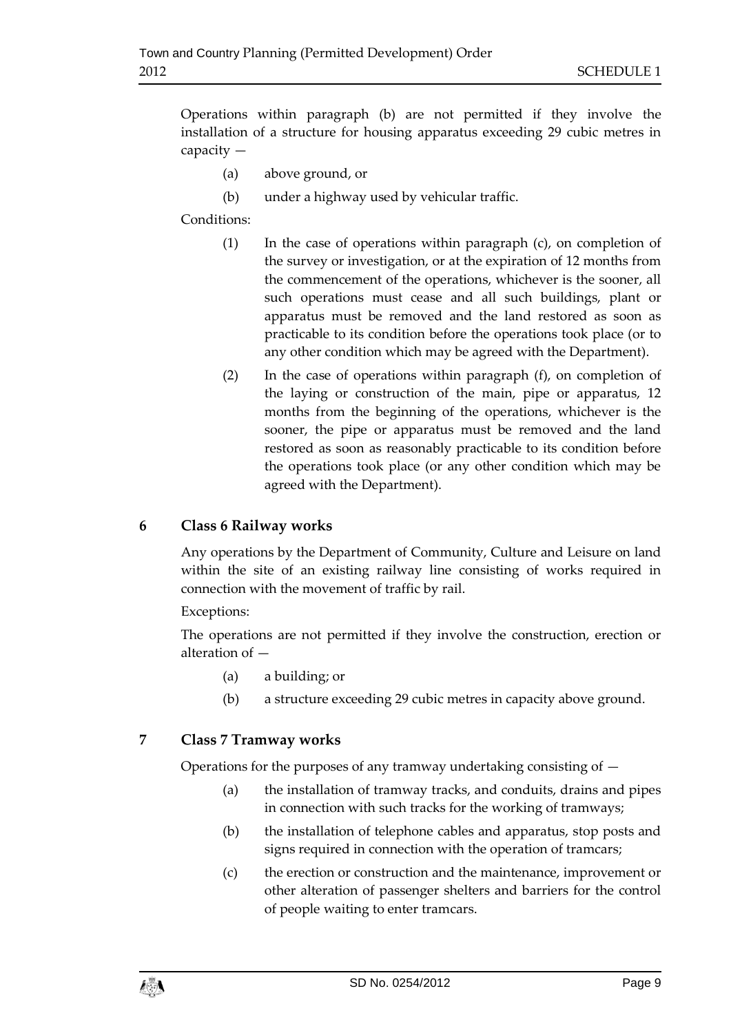Operations within paragraph (b) are not permitted if they involve the installation of a structure for housing apparatus exceeding 29 cubic metres in capacity —

- (a) above ground, or
- (b) under a highway used by vehicular traffic.

Conditions:

- (1) In the case of operations within paragraph (c), on completion of the survey or investigation, or at the expiration of 12 months from the commencement of the operations, whichever is the sooner, all such operations must cease and all such buildings, plant or apparatus must be removed and the land restored as soon as practicable to its condition before the operations took place (or to any other condition which may be agreed with the Department).
- (2) In the case of operations within paragraph (f), on completion of the laying or construction of the main, pipe or apparatus, 12 months from the beginning of the operations, whichever is the sooner, the pipe or apparatus must be removed and the land restored as soon as reasonably practicable to its condition before the operations took place (or any other condition which may be agreed with the Department).

# **6 Class 6 Railway works**

Any operations by the Department of Community, Culture and Leisure on land within the site of an existing railway line consisting of works required in connection with the movement of traffic by rail.

# Exceptions:

The operations are not permitted if they involve the construction, erection or alteration of —

- (a) a building; or
- (b) a structure exceeding 29 cubic metres in capacity above ground.

# **7 Class 7 Tramway works**

Operations for the purposes of any tramway undertaking consisting of —

- (a) the installation of tramway tracks, and conduits, drains and pipes in connection with such tracks for the working of tramways;
- (b) the installation of telephone cables and apparatus, stop posts and signs required in connection with the operation of tramcars;
- (c) the erection or construction and the maintenance, improvement or other alteration of passenger shelters and barriers for the control of people waiting to enter tramcars.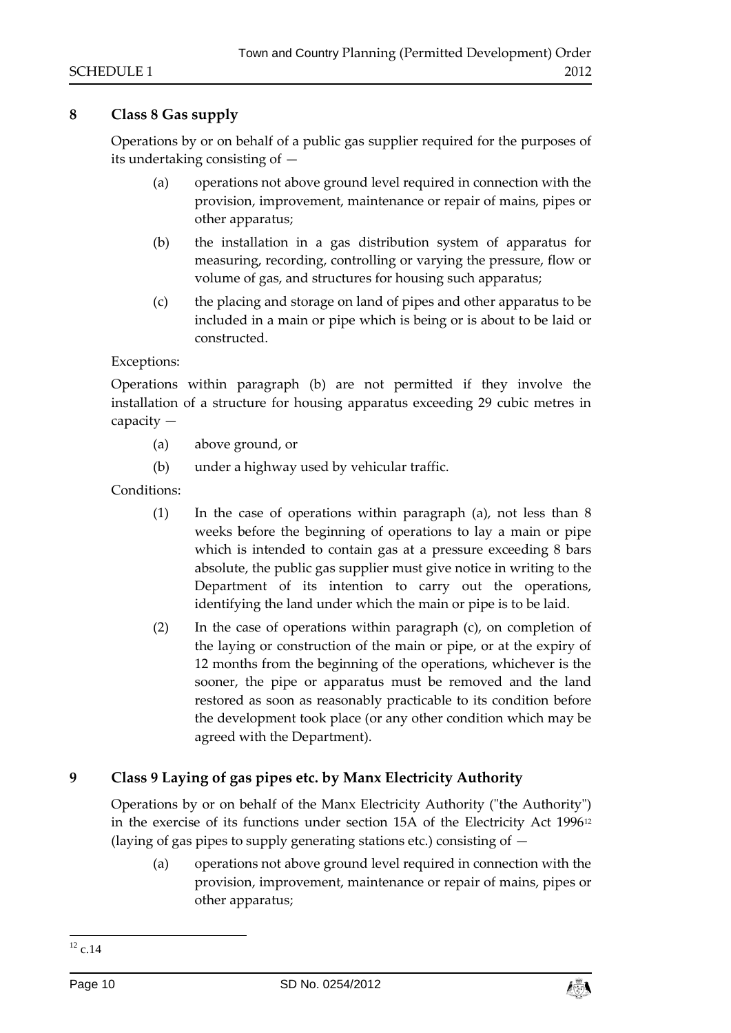# **8 Class 8 Gas supply**

Operations by or on behalf of a public gas supplier required for the purposes of its undertaking consisting of —

- (a) operations not above ground level required in connection with the provision, improvement, maintenance or repair of mains, pipes or other apparatus;
- (b) the installation in a gas distribution system of apparatus for measuring, recording, controlling or varying the pressure, flow or volume of gas, and structures for housing such apparatus;
- (c) the placing and storage on land of pipes and other apparatus to be included in a main or pipe which is being or is about to be laid or constructed.

## Exceptions:

Operations within paragraph (b) are not permitted if they involve the installation of a structure for housing apparatus exceeding 29 cubic metres in capacity —

- (a) above ground, or
- (b) under a highway used by vehicular traffic.

Conditions:

- (1) In the case of operations within paragraph (a), not less than 8 weeks before the beginning of operations to lay a main or pipe which is intended to contain gas at a pressure exceeding 8 bars absolute, the public gas supplier must give notice in writing to the Department of its intention to carry out the operations, identifying the land under which the main or pipe is to be laid.
- (2) In the case of operations within paragraph (c), on completion of the laying or construction of the main or pipe, or at the expiry of 12 months from the beginning of the operations, whichever is the sooner, the pipe or apparatus must be removed and the land restored as soon as reasonably practicable to its condition before the development took place (or any other condition which may be agreed with the Department).

# **9 Class 9 Laying of gas pipes etc. by Manx Electricity Authority**

Operations by or on behalf of the Manx Electricity Authority ("the Authority") in the exercise of its functions under section 15A of the Electricity Act 1996<sup>12</sup> (laying of gas pipes to supply generating stations etc.) consisting of —

(a) operations not above ground level required in connection with the provision, improvement, maintenance or repair of mains, pipes or other apparatus;



<sup>-</sup> $^{12}$  c.14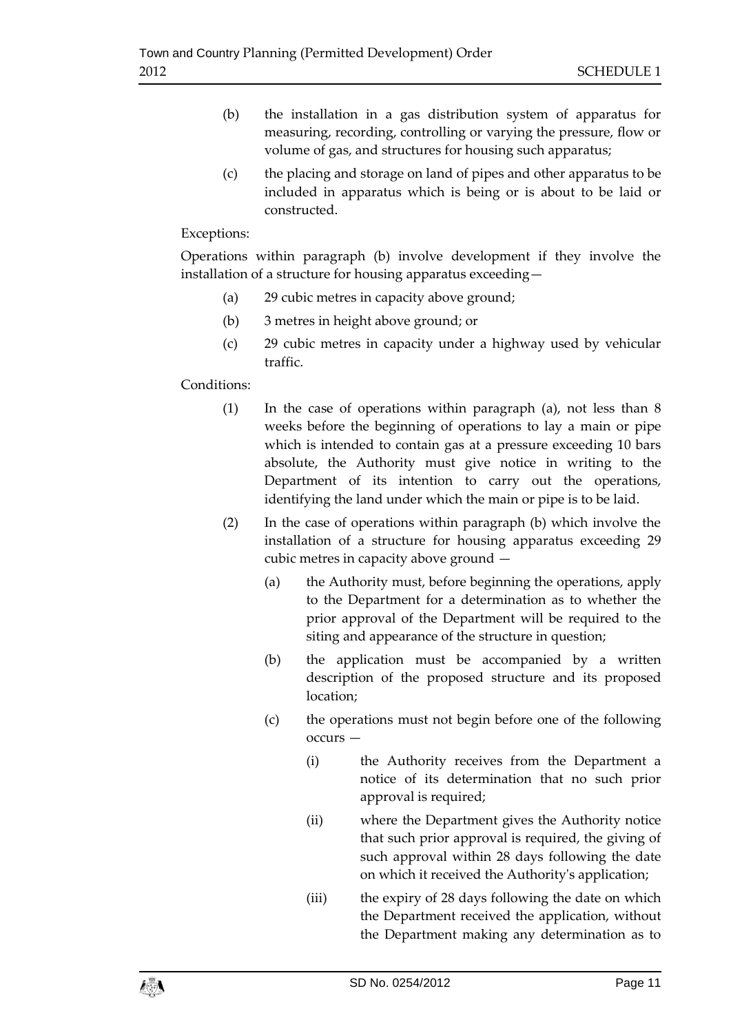- (b) the installation in a gas distribution system of apparatus for measuring, recording, controlling or varying the pressure, flow or volume of gas, and structures for housing such apparatus;
- (c) the placing and storage on land of pipes and other apparatus to be included in apparatus which is being or is about to be laid or constructed.

# Exceptions:

Operations within paragraph (b) involve development if they involve the installation of a structure for housing apparatus exceeding—

- (a) 29 cubic metres in capacity above ground;
- (b) 3 metres in height above ground; or
- (c) 29 cubic metres in capacity under a highway used by vehicular traffic.

# Conditions:

- (1) In the case of operations within paragraph (a), not less than 8 weeks before the beginning of operations to lay a main or pipe which is intended to contain gas at a pressure exceeding 10 bars absolute, the Authority must give notice in writing to the Department of its intention to carry out the operations, identifying the land under which the main or pipe is to be laid.
- (2) In the case of operations within paragraph (b) which involve the installation of a structure for housing apparatus exceeding 29 cubic metres in capacity above ground —
	- (a) the Authority must, before beginning the operations, apply to the Department for a determination as to whether the prior approval of the Department will be required to the siting and appearance of the structure in question;
	- (b) the application must be accompanied by a written description of the proposed structure and its proposed location;
	- (c) the operations must not begin before one of the following occurs —
		- (i) the Authority receives from the Department a notice of its determination that no such prior approval is required;
		- (ii) where the Department gives the Authority notice that such prior approval is required, the giving of such approval within 28 days following the date on which it received the Authority's application;
		- (iii) the expiry of 28 days following the date on which the Department received the application, without the Department making any determination as to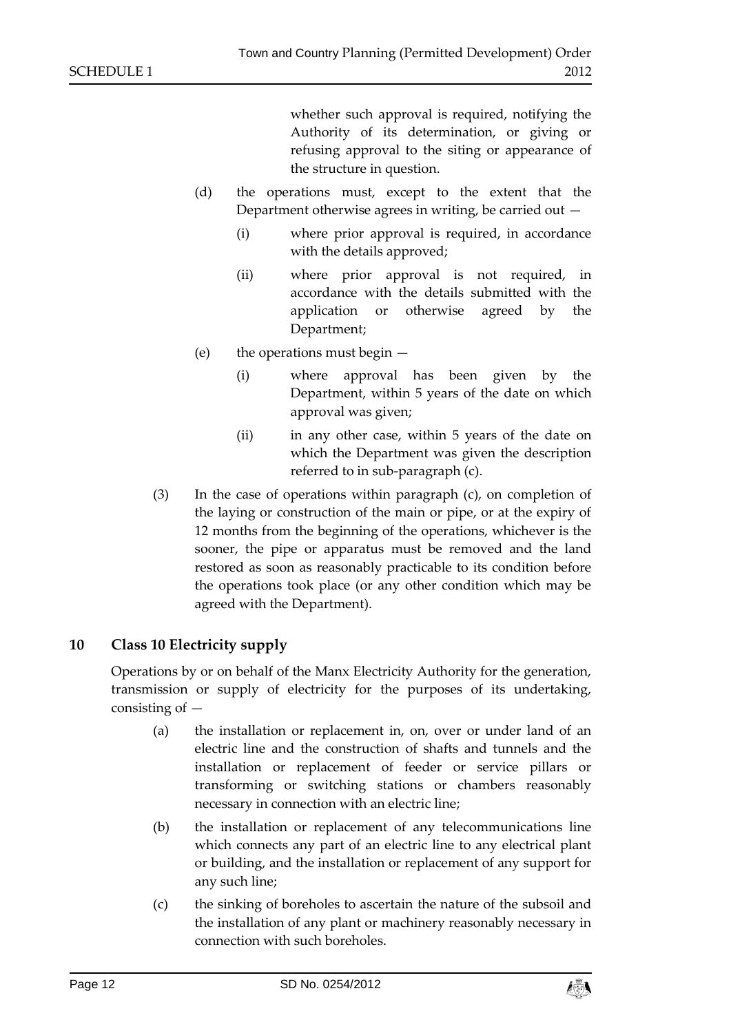whether such approval is required, notifying the Authority of its determination, or giving or refusing approval to the siting or appearance of the structure in question.

- (d) the operations must, except to the extent that the Department otherwise agrees in writing, be carried out  $-$ 
	- (i) where prior approval is required, in accordance with the details approved;
	- (ii) where prior approval is not required, in accordance with the details submitted with the application or otherwise agreed by the Department;
- (e) the operations must begin
	- (i) where approval has been given by the Department, within 5 years of the date on which approval was given;
	- (ii) in any other case, within 5 years of the date on which the Department was given the description referred to in sub-paragraph (c).
- (3) In the case of operations within paragraph (c), on completion of the laying or construction of the main or pipe, or at the expiry of 12 months from the beginning of the operations, whichever is the sooner, the pipe or apparatus must be removed and the land restored as soon as reasonably practicable to its condition before the operations took place (or any other condition which may be agreed with the Department).

# **10 Class 10 Electricity supply**

Operations by or on behalf of the Manx Electricity Authority for the generation, transmission or supply of electricity for the purposes of its undertaking, consisting of —

- (a) the installation or replacement in, on, over or under land of an electric line and the construction of shafts and tunnels and the installation or replacement of feeder or service pillars or transforming or switching stations or chambers reasonably necessary in connection with an electric line;
- (b) the installation or replacement of any telecommunications line which connects any part of an electric line to any electrical plant or building, and the installation or replacement of any support for any such line;
- (c) the sinking of boreholes to ascertain the nature of the subsoil and the installation of any plant or machinery reasonably necessary in connection with such boreholes.

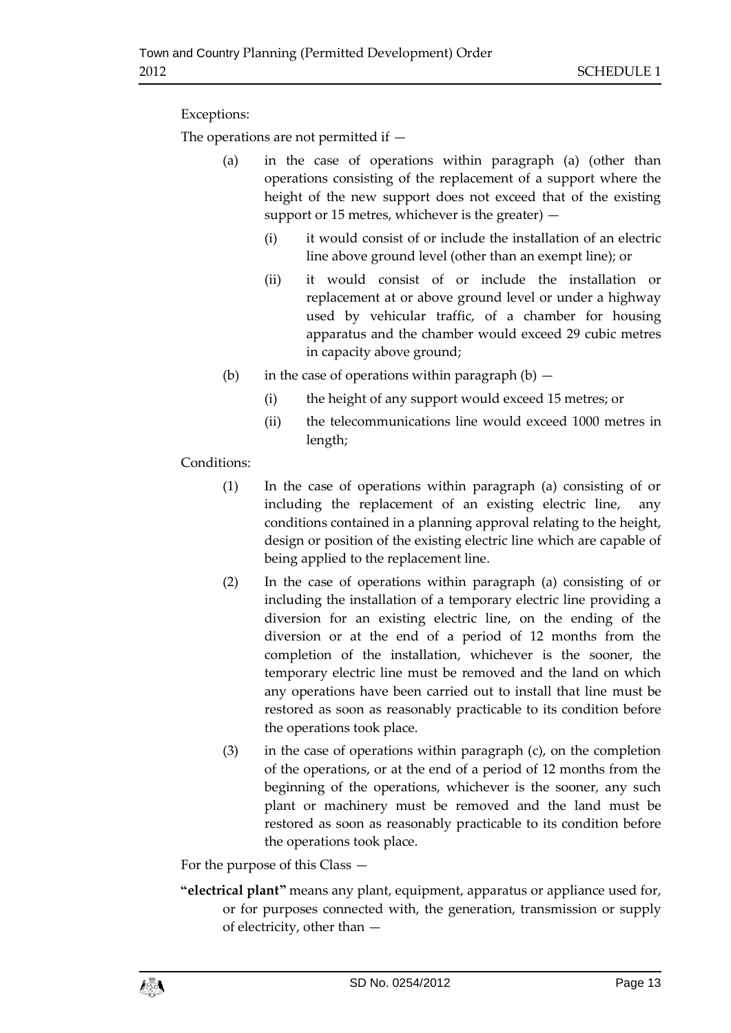# Exceptions:

The operations are not permitted if —

- (a) in the case of operations within paragraph (a) (other than operations consisting of the replacement of a support where the height of the new support does not exceed that of the existing support or 15 metres, whichever is the greater)  $-$ 
	- (i) it would consist of or include the installation of an electric line above ground level (other than an exempt line); or
	- (ii) it would consist of or include the installation or replacement at or above ground level or under a highway used by vehicular traffic, of a chamber for housing apparatus and the chamber would exceed 29 cubic metres in capacity above ground;
- (b) in the case of operations within paragraph  $(b)$ 
	- (i) the height of any support would exceed 15 metres; or
	- (ii) the telecommunications line would exceed 1000 metres in length;

Conditions:

- (1) In the case of operations within paragraph (a) consisting of or including the replacement of an existing electric line, any conditions contained in a planning approval relating to the height, design or position of the existing electric line which are capable of being applied to the replacement line.
- (2) In the case of operations within paragraph (a) consisting of or including the installation of a temporary electric line providing a diversion for an existing electric line, on the ending of the diversion or at the end of a period of 12 months from the completion of the installation, whichever is the sooner, the temporary electric line must be removed and the land on which any operations have been carried out to install that line must be restored as soon as reasonably practicable to its condition before the operations took place.
- (3) in the case of operations within paragraph (c), on the completion of the operations, or at the end of a period of 12 months from the beginning of the operations, whichever is the sooner, any such plant or machinery must be removed and the land must be restored as soon as reasonably practicable to its condition before the operations took place.

For the purpose of this Class —

**"electrical plant"** means any plant, equipment, apparatus or appliance used for, or for purposes connected with, the generation, transmission or supply of electricity, other than —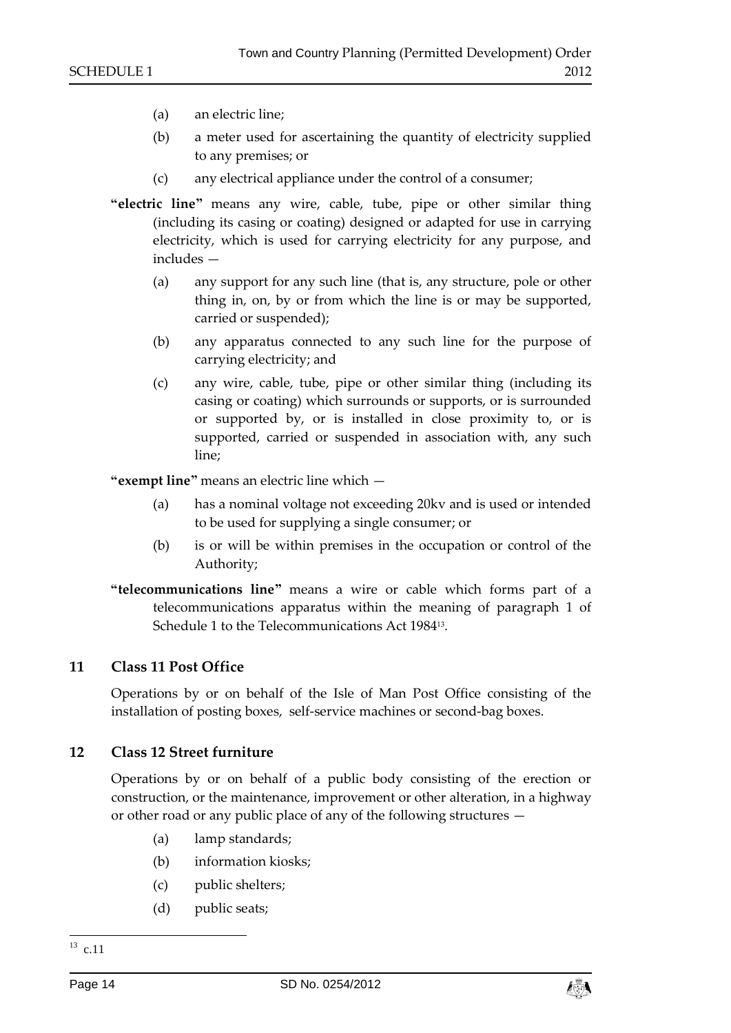- (a) an electric line;
- (b) a meter used for ascertaining the quantity of electricity supplied to any premises; or
- (c) any electrical appliance under the control of a consumer;
- **"electric line"** means any wire, cable, tube, pipe or other similar thing (including its casing or coating) designed or adapted for use in carrying electricity, which is used for carrying electricity for any purpose, and includes —
	- (a) any support for any such line (that is, any structure, pole or other thing in, on, by or from which the line is or may be supported, carried or suspended);
	- (b) any apparatus connected to any such line for the purpose of carrying electricity; and
	- (c) any wire, cable, tube, pipe or other similar thing (including its casing or coating) which surrounds or supports, or is surrounded or supported by, or is installed in close proximity to, or is supported, carried or suspended in association with, any such line;

**"exempt line"** means an electric line which —

- (a) has a nominal voltage not exceeding 20kv and is used or intended to be used for supplying a single consumer; or
- (b) is or will be within premises in the occupation or control of the Authority;
- **"telecommunications line"** means a wire or cable which forms part of a telecommunications apparatus within the meaning of paragraph 1 of Schedule 1 to the Telecommunications Act 1984<sup>13</sup> .

#### **11 Class 11 Post Office**

Operations by or on behalf of the Isle of Man Post Office consisting of the installation of posting boxes, self-service machines or second-bag boxes.

#### **12 Class 12 Street furniture**

Operations by or on behalf of a public body consisting of the erection or construction, or the maintenance, improvement or other alteration, in a highway or other road or any public place of any of the following structures —

- (a) lamp standards;
- (b) information kiosks;
- (c) public shelters;
- (d) public seats;



 $\frac{13}{13}$  c.11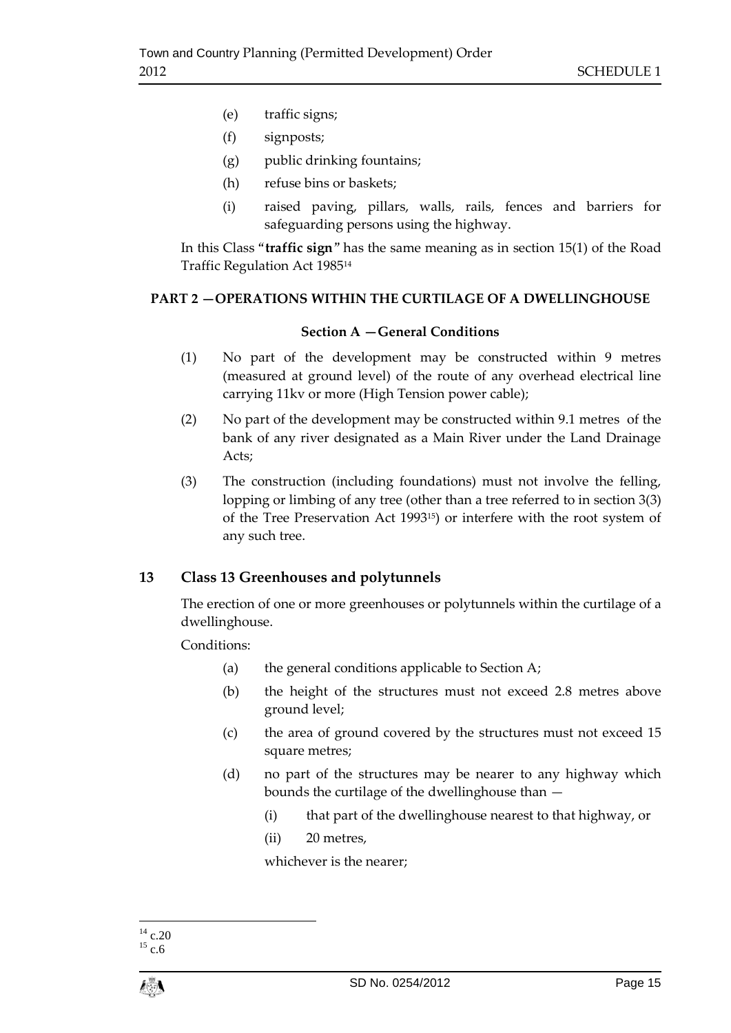- (e) traffic signs;
- (f) signposts;
- (g) public drinking fountains;
- (h) refuse bins or baskets;
- (i) raised paving, pillars, walls, rails, fences and barriers for safeguarding persons using the highway.

In this Class "**traffic sign**" has the same meaning as in section 15(1) of the Road Traffic Regulation Act 1985<sup>14</sup>

## **PART 2 —OPERATIONS WITHIN THE CURTILAGE OF A DWELLINGHOUSE**

#### **Section A —General Conditions**

- (1) No part of the development may be constructed within 9 metres (measured at ground level) of the route of any overhead electrical line carrying 11kv or more (High Tension power cable);
- (2) No part of the development may be constructed within 9.1 metres of the bank of any river designated as a Main River under the Land Drainage Acts;
- (3) The construction (including foundations) must not involve the felling, lopping or limbing of any tree (other than a tree referred to in section 3(3) of the Tree Preservation Act 199315) or interfere with the root system of any such tree.

# **13 Class 13 Greenhouses and polytunnels**

The erection of one or more greenhouses or polytunnels within the curtilage of a dwellinghouse.

Conditions:

- (a) the general conditions applicable to Section A;
- (b) the height of the structures must not exceed 2.8 metres above ground level;
- (c) the area of ground covered by the structures must not exceed 15 square metres;
- (d) no part of the structures may be nearer to any highway which bounds the curtilage of the dwellinghouse than —
	- (i) that part of the dwellinghouse nearest to that highway, or
	- (ii) 20 metres,

whichever is the nearer;

<sup>1</sup>  $^{14}$  c.20

 $^{15}$  c.6  $\,$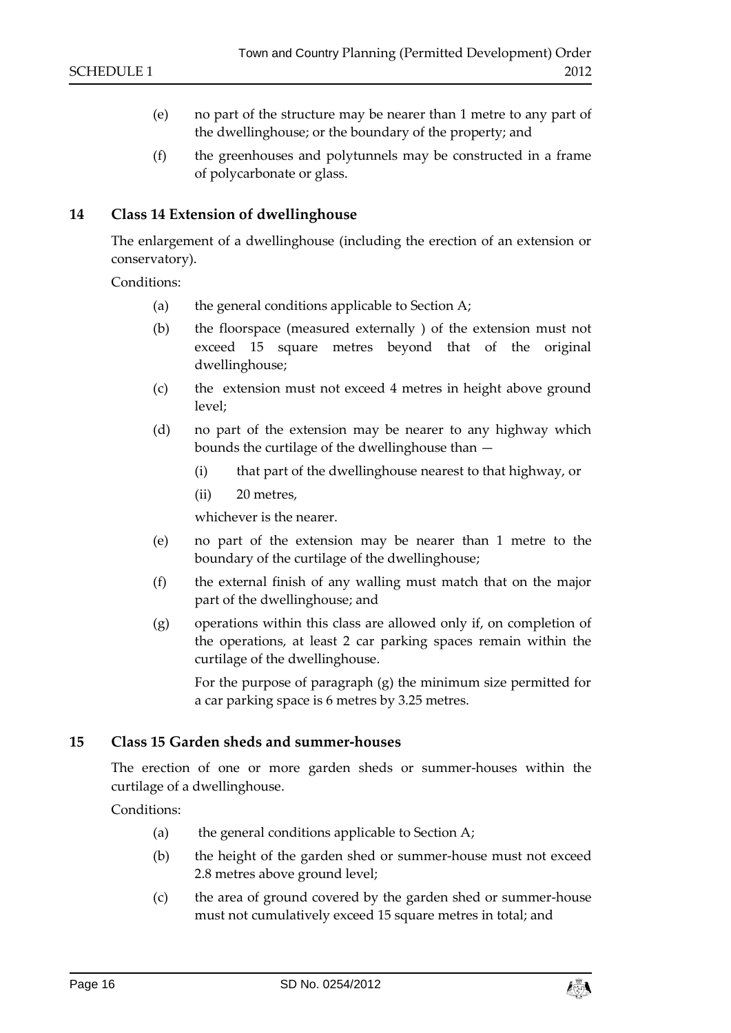- (e) no part of the structure may be nearer than 1 metre to any part of the dwellinghouse; or the boundary of the property; and
- (f) the greenhouses and polytunnels may be constructed in a frame of polycarbonate or glass.

## **14 Class 14 Extension of dwellinghouse**

The enlargement of a dwellinghouse (including the erection of an extension or conservatory).

Conditions:

- (a) the general conditions applicable to Section A;
- (b) the floorspace (measured externally ) of the extension must not exceed 15 square metres beyond that of the original dwellinghouse;
- (c) the extension must not exceed 4 metres in height above ground level;
- (d) no part of the extension may be nearer to any highway which bounds the curtilage of the dwellinghouse than —
	- (i) that part of the dwellinghouse nearest to that highway, or
	- (ii) 20 metres,

whichever is the nearer.

- (e) no part of the extension may be nearer than 1 metre to the boundary of the curtilage of the dwellinghouse;
- (f) the external finish of any walling must match that on the major part of the dwellinghouse; and
- (g) operations within this class are allowed only if, on completion of the operations, at least 2 car parking spaces remain within the curtilage of the dwellinghouse.

For the purpose of paragraph (g) the minimum size permitted for a car parking space is 6 metres by 3.25 metres.

#### **15 Class 15 Garden sheds and summer-houses**

The erection of one or more garden sheds or summer-houses within the curtilage of a dwellinghouse.

Conditions:

- (a) the general conditions applicable to Section A;
- (b) the height of the garden shed or summer-house must not exceed 2.8 metres above ground level;
- (c) the area of ground covered by the garden shed or summer-house must not cumulatively exceed 15 square metres in total; and

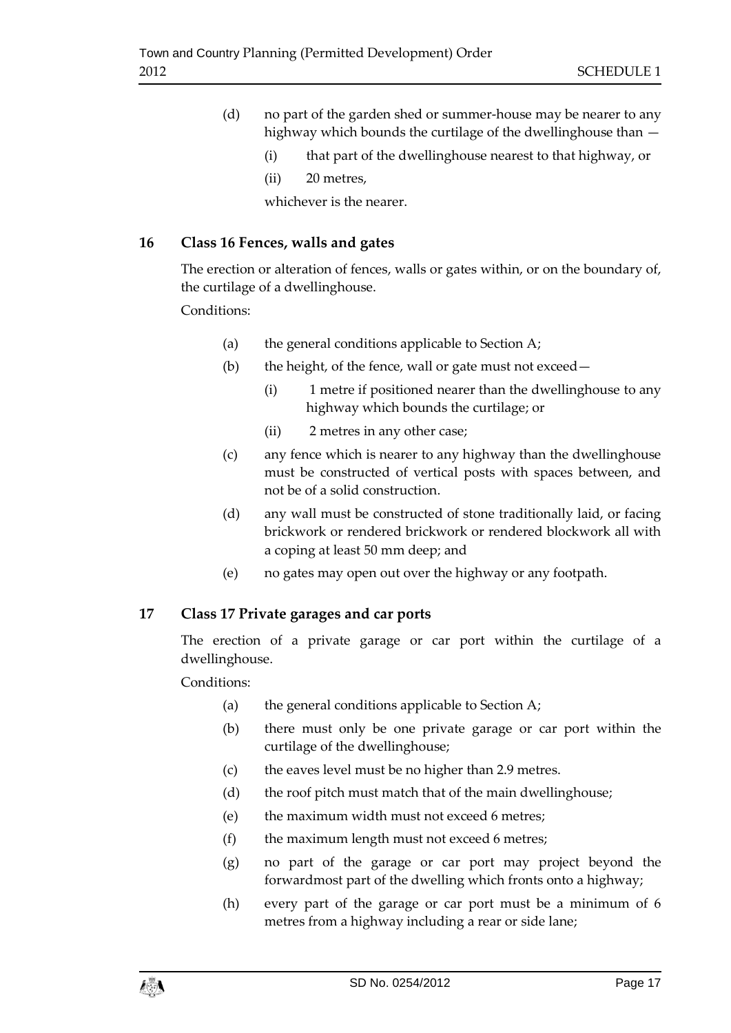- (d) no part of the garden shed or summer-house may be nearer to any highway which bounds the curtilage of the dwellinghouse than —
	- (i) that part of the dwellinghouse nearest to that highway, or
	- (ii) 20 metres,

whichever is the nearer.

# **16 Class 16 Fences, walls and gates**

The erection or alteration of fences, walls or gates within, or on the boundary of, the curtilage of a dwellinghouse.

## Conditions:

- (a) the general conditions applicable to Section A;
- (b) the height, of the fence, wall or gate must not exceed—
	- (i) 1 metre if positioned nearer than the dwellinghouse to any highway which bounds the curtilage; or
	- (ii) 2 metres in any other case;
- (c) any fence which is nearer to any highway than the dwellinghouse must be constructed of vertical posts with spaces between, and not be of a solid construction.
- (d) any wall must be constructed of stone traditionally laid, or facing brickwork or rendered brickwork or rendered blockwork all with a coping at least 50 mm deep; and
- (e) no gates may open out over the highway or any footpath.

# **17 Class 17 Private garages and car ports**

The erection of a private garage or car port within the curtilage of a dwellinghouse.

Conditions:

- (a) the general conditions applicable to Section A;
- (b) there must only be one private garage or car port within the curtilage of the dwellinghouse;
- (c) the eaves level must be no higher than 2.9 metres.
- (d) the roof pitch must match that of the main dwellinghouse;
- (e) the maximum width must not exceed 6 metres;
- (f) the maximum length must not exceed 6 metres;
- (g) no part of the garage or car port may project beyond the forwardmost part of the dwelling which fronts onto a highway;
- (h) every part of the garage or car port must be a minimum of 6 metres from a highway including a rear or side lane;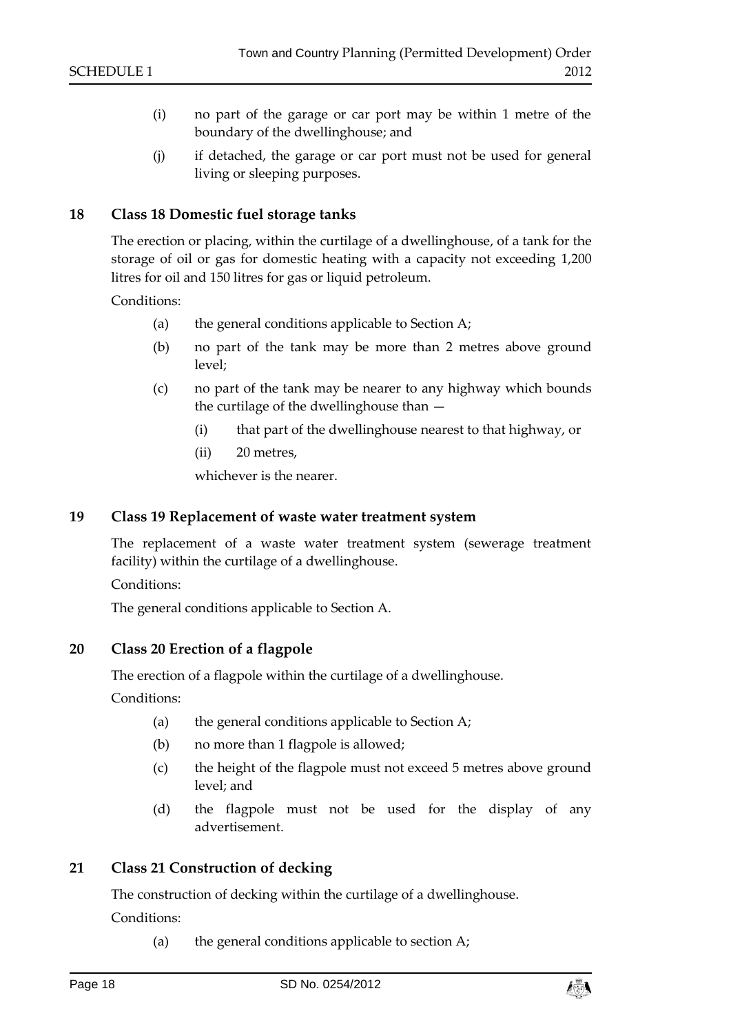- (i) no part of the garage or car port may be within 1 metre of the boundary of the dwellinghouse; and
- (j) if detached, the garage or car port must not be used for general living or sleeping purposes.

## **18 Class 18 Domestic fuel storage tanks**

The erection or placing, within the curtilage of a dwellinghouse, of a tank for the storage of oil or gas for domestic heating with a capacity not exceeding 1,200 litres for oil and 150 litres for gas or liquid petroleum.

Conditions:

- (a) the general conditions applicable to Section A;
- (b) no part of the tank may be more than 2 metres above ground level;
- (c) no part of the tank may be nearer to any highway which bounds the curtilage of the dwellinghouse than —
	- (i) that part of the dwellinghouse nearest to that highway, or
	- (ii) 20 metres,

whichever is the nearer.

#### **19 Class 19 Replacement of waste water treatment system**

The replacement of a waste water treatment system (sewerage treatment facility) within the curtilage of a dwellinghouse.

Conditions:

The general conditions applicable to Section A.

#### **20 Class 20 Erection of a flagpole**

The erection of a flagpole within the curtilage of a dwellinghouse.

Conditions:

- (a) the general conditions applicable to Section A;
- (b) no more than 1 flagpole is allowed;
- (c) the height of the flagpole must not exceed 5 metres above ground level; and
- (d) the flagpole must not be used for the display of any advertisement.

#### **21 Class 21 Construction of decking**

The construction of decking within the curtilage of a dwellinghouse.

Conditions:

(a) the general conditions applicable to section A;

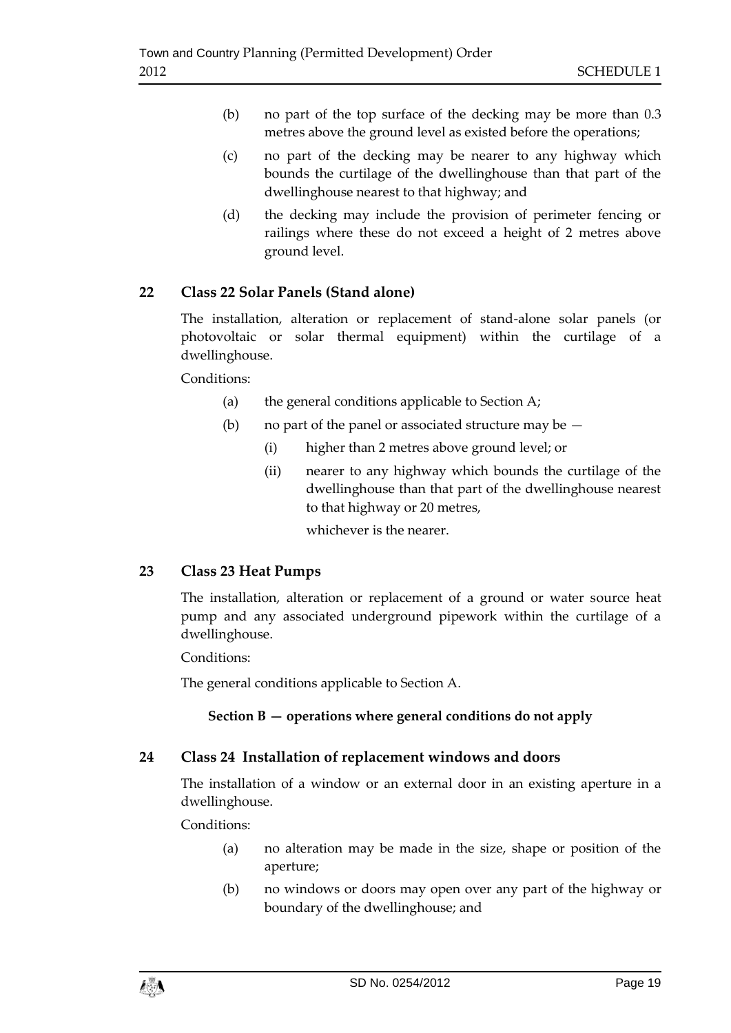- (b) no part of the top surface of the decking may be more than 0.3 metres above the ground level as existed before the operations;
- (c) no part of the decking may be nearer to any highway which bounds the curtilage of the dwellinghouse than that part of the dwellinghouse nearest to that highway; and
- (d) the decking may include the provision of perimeter fencing or railings where these do not exceed a height of 2 metres above ground level.

# **22 Class 22 Solar Panels (Stand alone)**

The installation, alteration or replacement of stand-alone solar panels (or photovoltaic or solar thermal equipment) within the curtilage of a dwellinghouse.

Conditions:

- (a) the general conditions applicable to Section A;
- (b) no part of the panel or associated structure may be  $-$ 
	- (i) higher than 2 metres above ground level; or
	- (ii) nearer to any highway which bounds the curtilage of the dwellinghouse than that part of the dwellinghouse nearest to that highway or 20 metres,

whichever is the nearer.

# **23 Class 23 Heat Pumps**

The installation, alteration or replacement of a ground or water source heat pump and any associated underground pipework within the curtilage of a dwellinghouse.

Conditions:

The general conditions applicable to Section A.

# **Section B — operations where general conditions do not apply**

# **24 Class 24 Installation of replacement windows and doors**

The installation of a window or an external door in an existing aperture in a dwellinghouse.

Conditions:

- (a) no alteration may be made in the size, shape or position of the aperture;
- (b) no windows or doors may open over any part of the highway or boundary of the dwellinghouse; and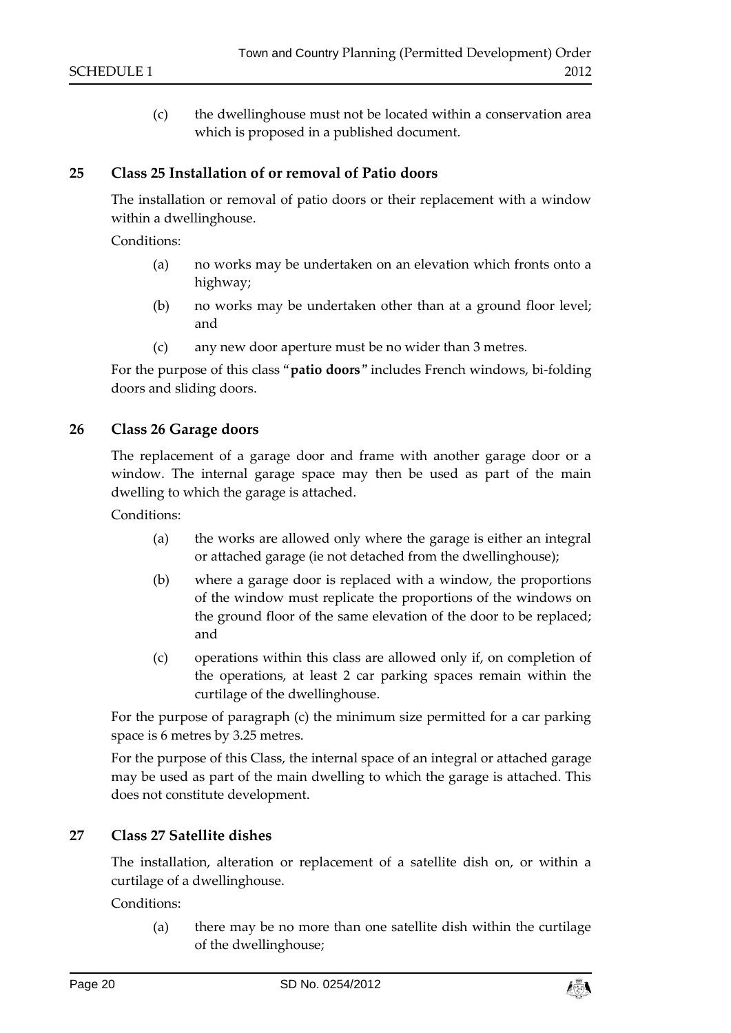(c) the dwellinghouse must not be located within a conservation area which is proposed in a published document.

## **25 Class 25 Installation of or removal of Patio doors**

The installation or removal of patio doors or their replacement with a window within a dwellinghouse.

Conditions:

- (a) no works may be undertaken on an elevation which fronts onto a highway;
- (b) no works may be undertaken other than at a ground floor level; and
- (c) any new door aperture must be no wider than 3 metres.

For the purpose of this class "**patio doors**" includes French windows, bi-folding doors and sliding doors.

# **26 Class 26 Garage doors**

The replacement of a garage door and frame with another garage door or a window. The internal garage space may then be used as part of the main dwelling to which the garage is attached.

Conditions:

- (a) the works are allowed only where the garage is either an integral or attached garage (ie not detached from the dwellinghouse);
- (b) where a garage door is replaced with a window, the proportions of the window must replicate the proportions of the windows on the ground floor of the same elevation of the door to be replaced; and
- (c) operations within this class are allowed only if, on completion of the operations, at least 2 car parking spaces remain within the curtilage of the dwellinghouse.

For the purpose of paragraph (c) the minimum size permitted for a car parking space is 6 metres by 3.25 metres.

For the purpose of this Class, the internal space of an integral or attached garage may be used as part of the main dwelling to which the garage is attached. This does not constitute development.

# **27 Class 27 Satellite dishes**

The installation, alteration or replacement of a satellite dish on, or within a curtilage of a dwellinghouse.

Conditions<sup>.</sup>

(a) there may be no more than one satellite dish within the curtilage of the dwellinghouse;

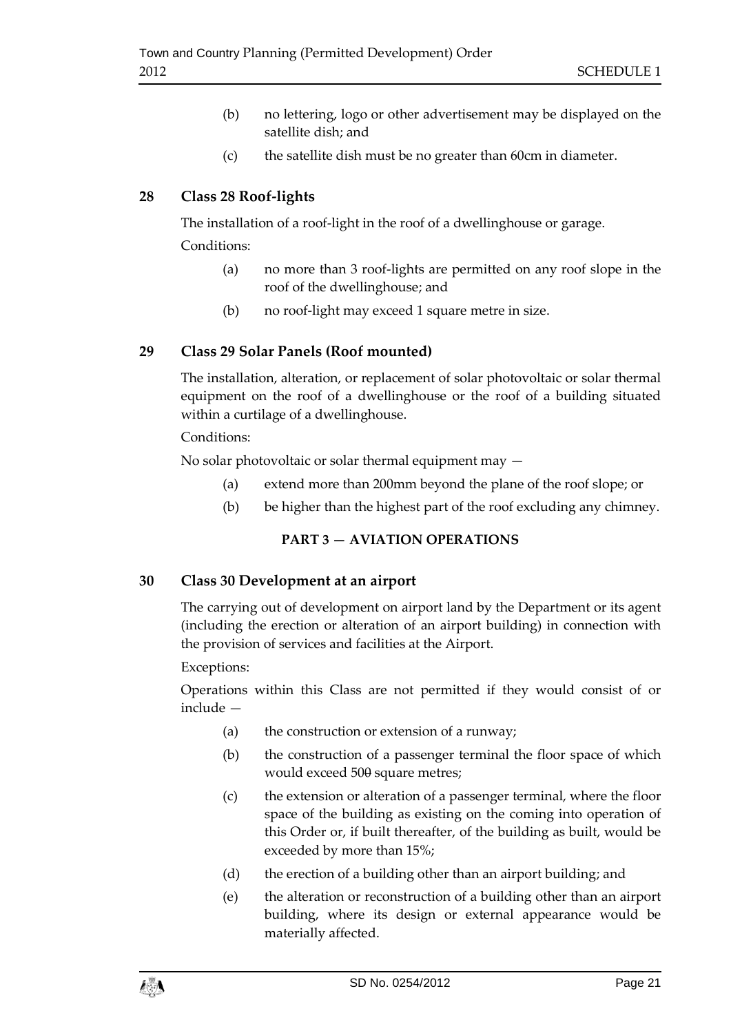- (b) no lettering, logo or other advertisement may be displayed on the satellite dish; and
- (c) the satellite dish must be no greater than 60cm in diameter.

# **28 Class 28 Roof-lights**

The installation of a roof-light in the roof of a dwellinghouse or garage. Conditions:

- (a) no more than 3 roof-lights are permitted on any roof slope in the roof of the dwellinghouse; and
- (b) no roof-light may exceed 1 square metre in size.

# **29 Class 29 Solar Panels (Roof mounted)**

The installation, alteration, or replacement of solar photovoltaic or solar thermal equipment on the roof of a dwellinghouse or the roof of a building situated within a curtilage of a dwellinghouse.

# Conditions:

No solar photovoltaic or solar thermal equipment may —

- (a) extend more than 200mm beyond the plane of the roof slope; or
- (b) be higher than the highest part of the roof excluding any chimney.

# **PART 3 — AVIATION OPERATIONS**

# **30 Class 30 Development at an airport**

The carrying out of development on airport land by the Department or its agent (including the erection or alteration of an airport building) in connection with the provision of services and facilities at the Airport.

# Exceptions:

Operations within this Class are not permitted if they would consist of or include —

- (a) the construction or extension of a runway;
- (b) the construction of a passenger terminal the floor space of which would exceed 500 square metres;
- (c) the extension or alteration of a passenger terminal, where the floor space of the building as existing on the coming into operation of this Order or, if built thereafter, of the building as built, would be exceeded by more than 15%;
- (d) the erection of a building other than an airport building; and
- (e) the alteration or reconstruction of a building other than an airport building, where its design or external appearance would be materially affected.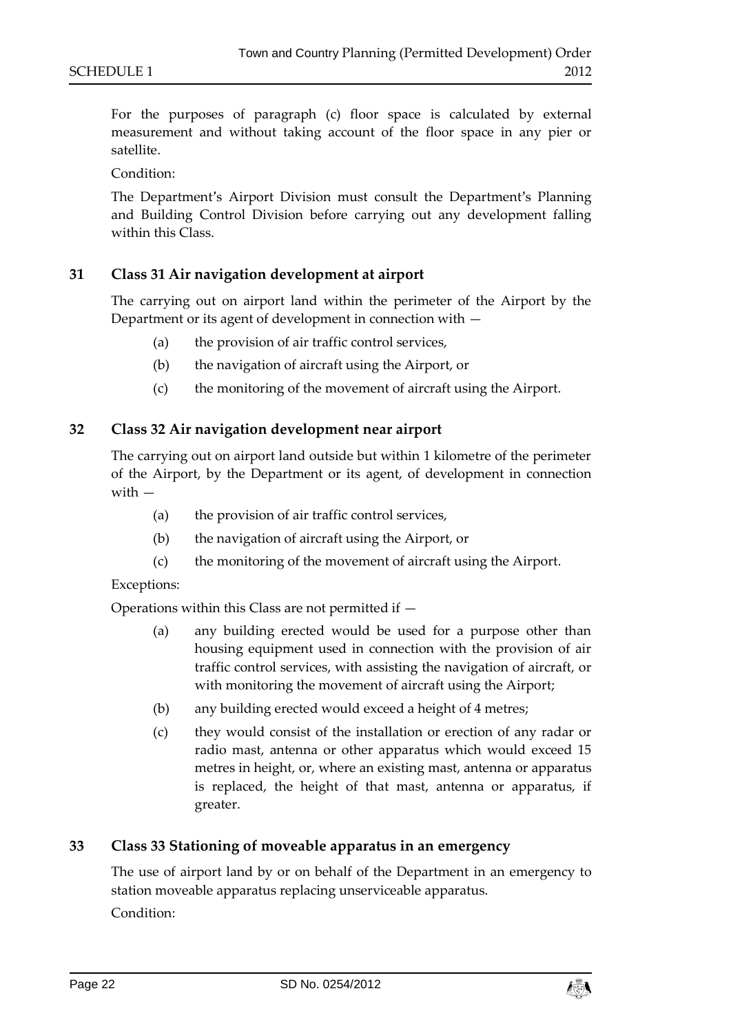For the purposes of paragraph (c) floor space is calculated by external measurement and without taking account of the floor space in any pier or satellite.

Condition:

The Department's Airport Division must consult the Department's Planning and Building Control Division before carrying out any development falling within this Class.

## **31 Class 31 Air navigation development at airport**

The carrying out on airport land within the perimeter of the Airport by the Department or its agent of development in connection with —

- (a) the provision of air traffic control services,
- (b) the navigation of aircraft using the Airport, or
- (c) the monitoring of the movement of aircraft using the Airport.

## **32 Class 32 Air navigation development near airport**

The carrying out on airport land outside but within 1 kilometre of the perimeter of the Airport, by the Department or its agent, of development in connection with —

- (a) the provision of air traffic control services,
- (b) the navigation of aircraft using the Airport, or
- (c) the monitoring of the movement of aircraft using the Airport.

#### Exceptions:

Operations within this Class are not permitted if —

- (a) any building erected would be used for a purpose other than housing equipment used in connection with the provision of air traffic control services, with assisting the navigation of aircraft, or with monitoring the movement of aircraft using the Airport;
- (b) any building erected would exceed a height of 4 metres;
- (c) they would consist of the installation or erection of any radar or radio mast, antenna or other apparatus which would exceed 15 metres in height, or, where an existing mast, antenna or apparatus is replaced, the height of that mast, antenna or apparatus, if greater.

#### **33 Class 33 Stationing of moveable apparatus in an emergency**

The use of airport land by or on behalf of the Department in an emergency to station moveable apparatus replacing unserviceable apparatus.

Condition:

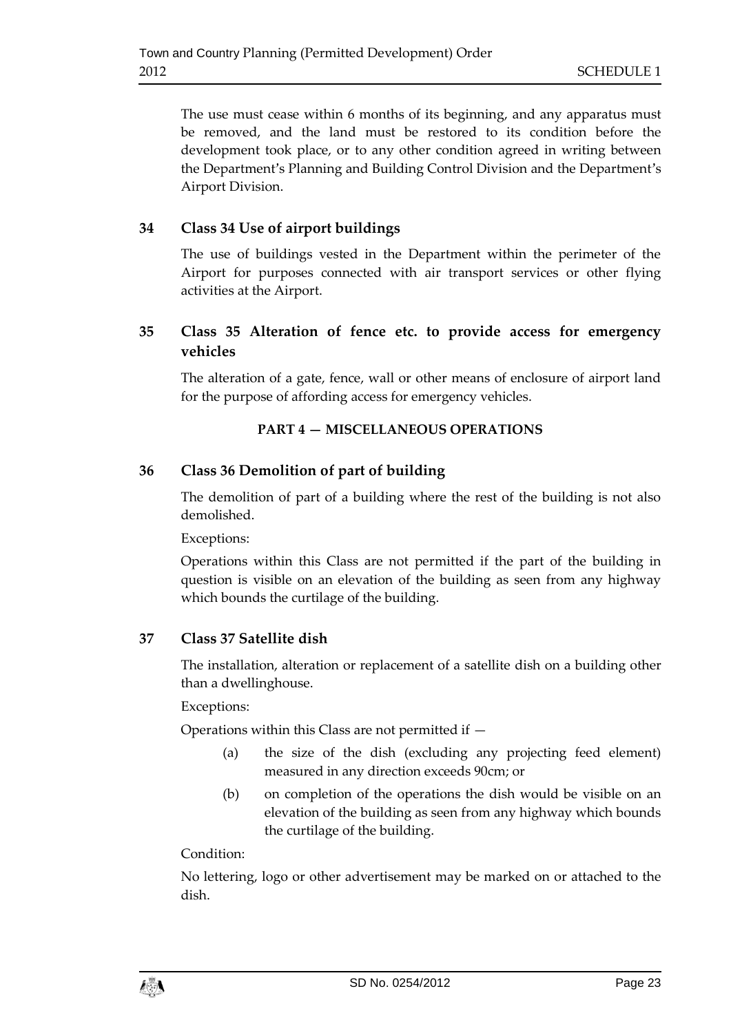The use must cease within 6 months of its beginning, and any apparatus must be removed, and the land must be restored to its condition before the development took place, or to any other condition agreed in writing between the Department's Planning and Building Control Division and the Department's Airport Division.

# **34 Class 34 Use of airport buildings**

The use of buildings vested in the Department within the perimeter of the Airport for purposes connected with air transport services or other flying activities at the Airport.

# **35 Class 35 Alteration of fence etc. to provide access for emergency vehicles**

The alteration of a gate, fence, wall or other means of enclosure of airport land for the purpose of affording access for emergency vehicles.

# **PART 4 — MISCELLANEOUS OPERATIONS**

# **36 Class 36 Demolition of part of building**

The demolition of part of a building where the rest of the building is not also demolished.

Exceptions:

Operations within this Class are not permitted if the part of the building in question is visible on an elevation of the building as seen from any highway which bounds the curtilage of the building.

# **37 Class 37 Satellite dish**

The installation, alteration or replacement of a satellite dish on a building other than a dwellinghouse.

Exceptions:

Operations within this Class are not permitted if —

- (a) the size of the dish (excluding any projecting feed element) measured in any direction exceeds 90cm; or
- (b) on completion of the operations the dish would be visible on an elevation of the building as seen from any highway which bounds the curtilage of the building.

# Condition:

No lettering, logo or other advertisement may be marked on or attached to the dish.

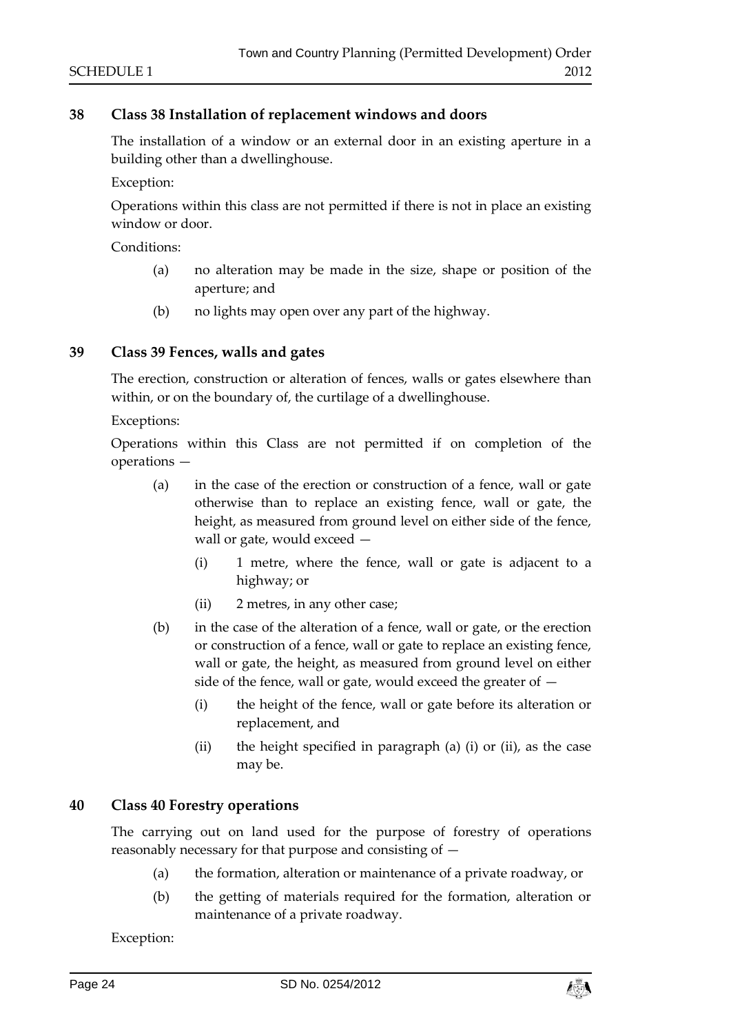# **38 Class 38 Installation of replacement windows and doors**

The installation of a window or an external door in an existing aperture in a building other than a dwellinghouse.

Exception:

Operations within this class are not permitted if there is not in place an existing window or door.

Conditions:

- (a) no alteration may be made in the size, shape or position of the aperture; and
- (b) no lights may open over any part of the highway.

## **39 Class 39 Fences, walls and gates**

The erection, construction or alteration of fences, walls or gates elsewhere than within, or on the boundary of, the curtilage of a dwellinghouse.

Exceptions:

Operations within this Class are not permitted if on completion of the operations —

- (a) in the case of the erection or construction of a fence, wall or gate otherwise than to replace an existing fence, wall or gate, the height, as measured from ground level on either side of the fence, wall or gate, would exceed —
	- (i) 1 metre, where the fence, wall or gate is adjacent to a highway; or
	- (ii) 2 metres, in any other case;
- (b) in the case of the alteration of a fence, wall or gate, or the erection or construction of a fence, wall or gate to replace an existing fence, wall or gate, the height, as measured from ground level on either side of the fence, wall or gate, would exceed the greater of —
	- (i) the height of the fence, wall or gate before its alteration or replacement, and
	- (ii) the height specified in paragraph (a) (i) or (ii), as the case may be.

# **40 Class 40 Forestry operations**

The carrying out on land used for the purpose of forestry of operations reasonably necessary for that purpose and consisting of —

- (a) the formation, alteration or maintenance of a private roadway, or
- (b) the getting of materials required for the formation, alteration or maintenance of a private roadway.

Exception:

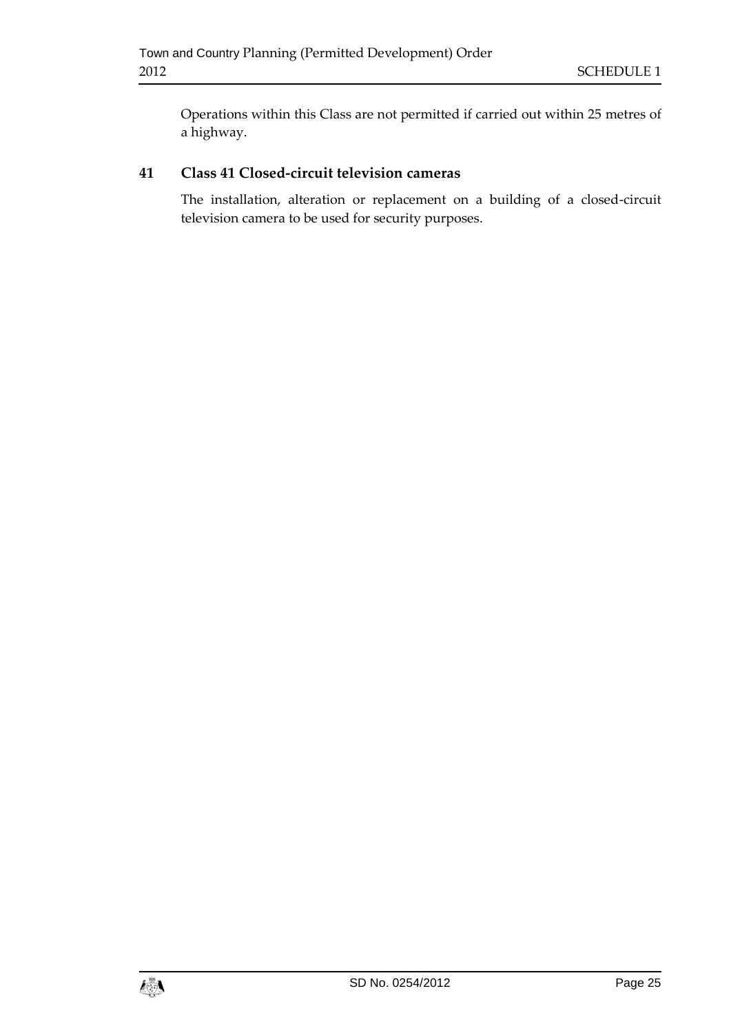Operations within this Class are not permitted if carried out within 25 metres of a highway.

# **41 Class 41 Closed-circuit television cameras**

The installation, alteration or replacement on a building of a closed-circuit television camera to be used for security purposes.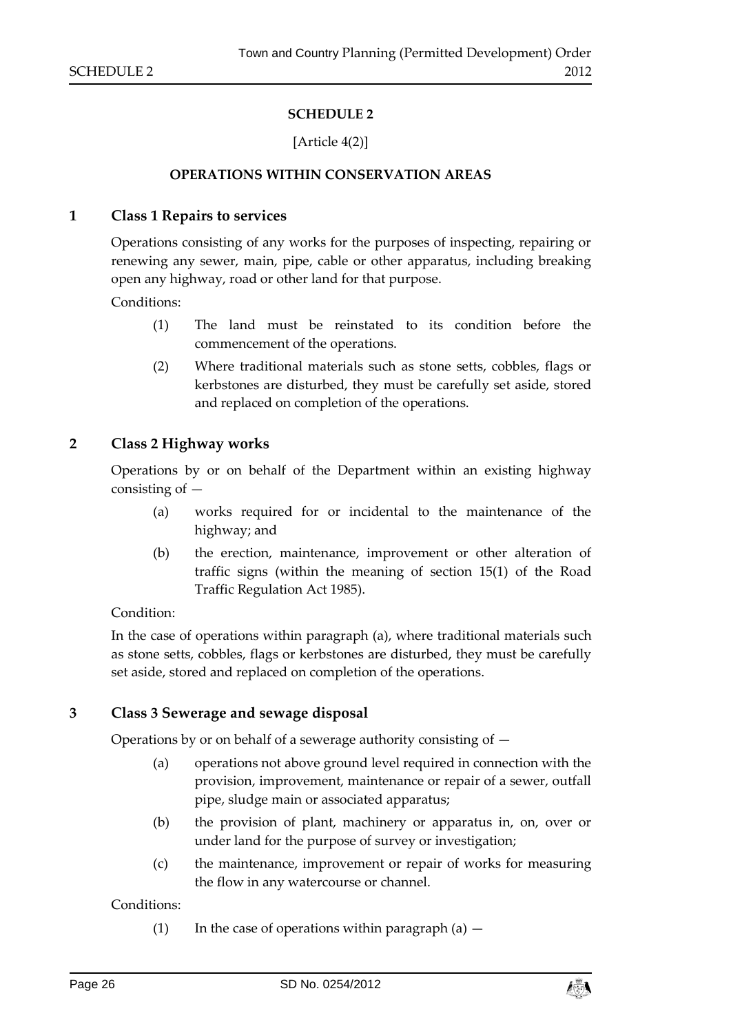## **SCHEDULE 2**

## [Article 4(2)]

#### **OPERATIONS WITHIN CONSERVATION AREAS**

#### <span id="page-25-1"></span><span id="page-25-0"></span>**1 Class 1 Repairs to services**

Operations consisting of any works for the purposes of inspecting, repairing or renewing any sewer, main, pipe, cable or other apparatus, including breaking open any highway, road or other land for that purpose.

Conditions:

- (1) The land must be reinstated to its condition before the commencement of the operations.
- (2) Where traditional materials such as stone setts, cobbles, flags or kerbstones are disturbed, they must be carefully set aside, stored and replaced on completion of the operations.

#### **2 Class 2 Highway works**

Operations by or on behalf of the Department within an existing highway consisting of —

- (a) works required for or incidental to the maintenance of the highway; and
- (b) the erection, maintenance, improvement or other alteration of traffic signs (within the meaning of section 15(1) of the Road Traffic Regulation Act 1985).

#### Condition:

In the case of operations within paragraph (a), where traditional materials such as stone setts, cobbles, flags or kerbstones are disturbed, they must be carefully set aside, stored and replaced on completion of the operations.

#### **3 Class 3 Sewerage and sewage disposal**

Operations by or on behalf of a sewerage authority consisting of —

- (a) operations not above ground level required in connection with the provision, improvement, maintenance or repair of a sewer, outfall pipe, sludge main or associated apparatus;
- (b) the provision of plant, machinery or apparatus in, on, over or under land for the purpose of survey or investigation;
- (c) the maintenance, improvement or repair of works for measuring the flow in any watercourse or channel.

Conditions:

(1) In the case of operations within paragraph  $(a)$  –

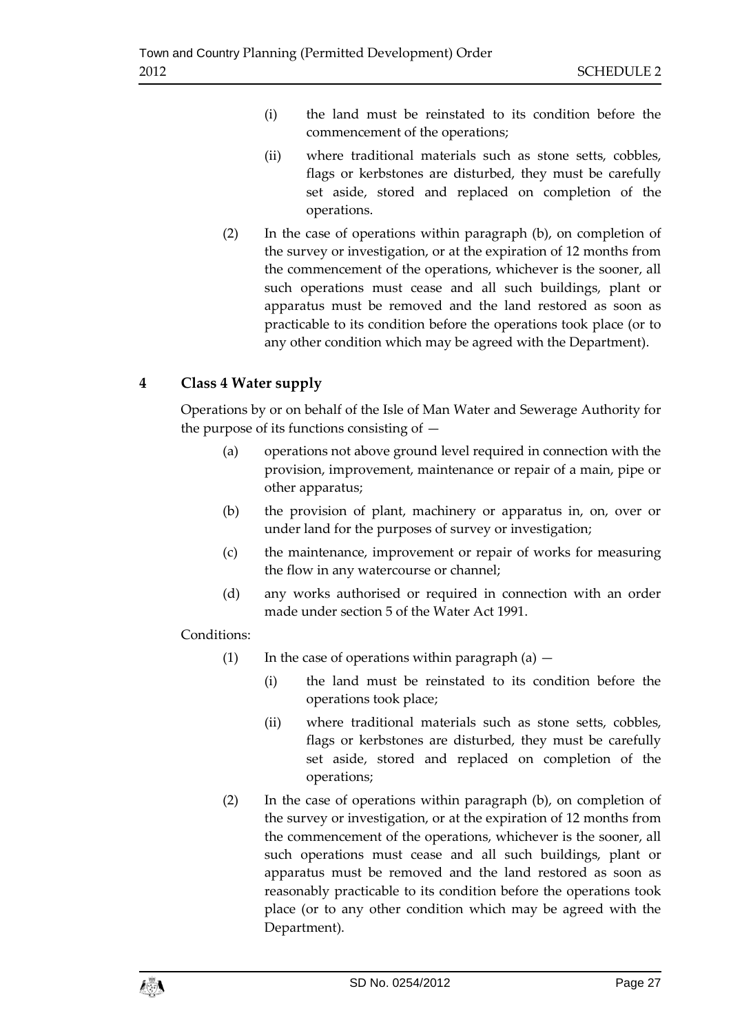- (i) the land must be reinstated to its condition before the commencement of the operations;
- (ii) where traditional materials such as stone setts, cobbles, flags or kerbstones are disturbed, they must be carefully set aside, stored and replaced on completion of the operations.
- (2) In the case of operations within paragraph (b), on completion of the survey or investigation, or at the expiration of 12 months from the commencement of the operations, whichever is the sooner, all such operations must cease and all such buildings, plant or apparatus must be removed and the land restored as soon as practicable to its condition before the operations took place (or to any other condition which may be agreed with the Department).

# **4 Class 4 Water supply**

Operations by or on behalf of the Isle of Man Water and Sewerage Authority for the purpose of its functions consisting of  $-$ 

- (a) operations not above ground level required in connection with the provision, improvement, maintenance or repair of a main, pipe or other apparatus;
- (b) the provision of plant, machinery or apparatus in, on, over or under land for the purposes of survey or investigation;
- (c) the maintenance, improvement or repair of works for measuring the flow in any watercourse or channel;
- (d) any works authorised or required in connection with an order made under section 5 of the Water Act 1991.

# Conditions:

- (1) In the case of operations within paragraph (a)  $-$ 
	- (i) the land must be reinstated to its condition before the operations took place;
	- (ii) where traditional materials such as stone setts, cobbles, flags or kerbstones are disturbed, they must be carefully set aside, stored and replaced on completion of the operations;
- (2) In the case of operations within paragraph (b), on completion of the survey or investigation, or at the expiration of 12 months from the commencement of the operations, whichever is the sooner, all such operations must cease and all such buildings, plant or apparatus must be removed and the land restored as soon as reasonably practicable to its condition before the operations took place (or to any other condition which may be agreed with the Department).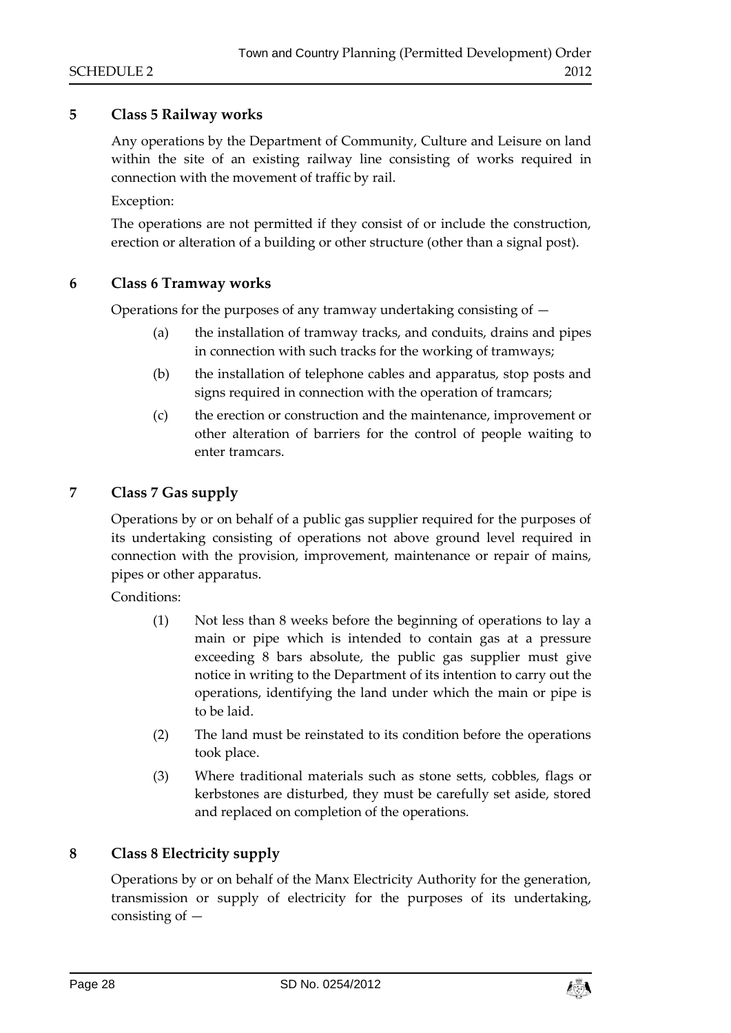## **5 Class 5 Railway works**

Any operations by the Department of Community, Culture and Leisure on land within the site of an existing railway line consisting of works required in connection with the movement of traffic by rail.

Exception:

The operations are not permitted if they consist of or include the construction, erection or alteration of a building or other structure (other than a signal post).

#### **6 Class 6 Tramway works**

Operations for the purposes of any tramway undertaking consisting of  $-$ 

- (a) the installation of tramway tracks, and conduits, drains and pipes in connection with such tracks for the working of tramways;
- (b) the installation of telephone cables and apparatus, stop posts and signs required in connection with the operation of tramcars;
- (c) the erection or construction and the maintenance, improvement or other alteration of barriers for the control of people waiting to enter tramcars.

## **7 Class 7 Gas supply**

Operations by or on behalf of a public gas supplier required for the purposes of its undertaking consisting of operations not above ground level required in connection with the provision, improvement, maintenance or repair of mains, pipes or other apparatus.

Conditions:

- (1) Not less than 8 weeks before the beginning of operations to lay a main or pipe which is intended to contain gas at a pressure exceeding 8 bars absolute, the public gas supplier must give notice in writing to the Department of its intention to carry out the operations, identifying the land under which the main or pipe is to be laid.
- (2) The land must be reinstated to its condition before the operations took place.
- (3) Where traditional materials such as stone setts, cobbles, flags or kerbstones are disturbed, they must be carefully set aside, stored and replaced on completion of the operations.

# **8 Class 8 Electricity supply**

Operations by or on behalf of the Manx Electricity Authority for the generation, transmission or supply of electricity for the purposes of its undertaking, consisting of —

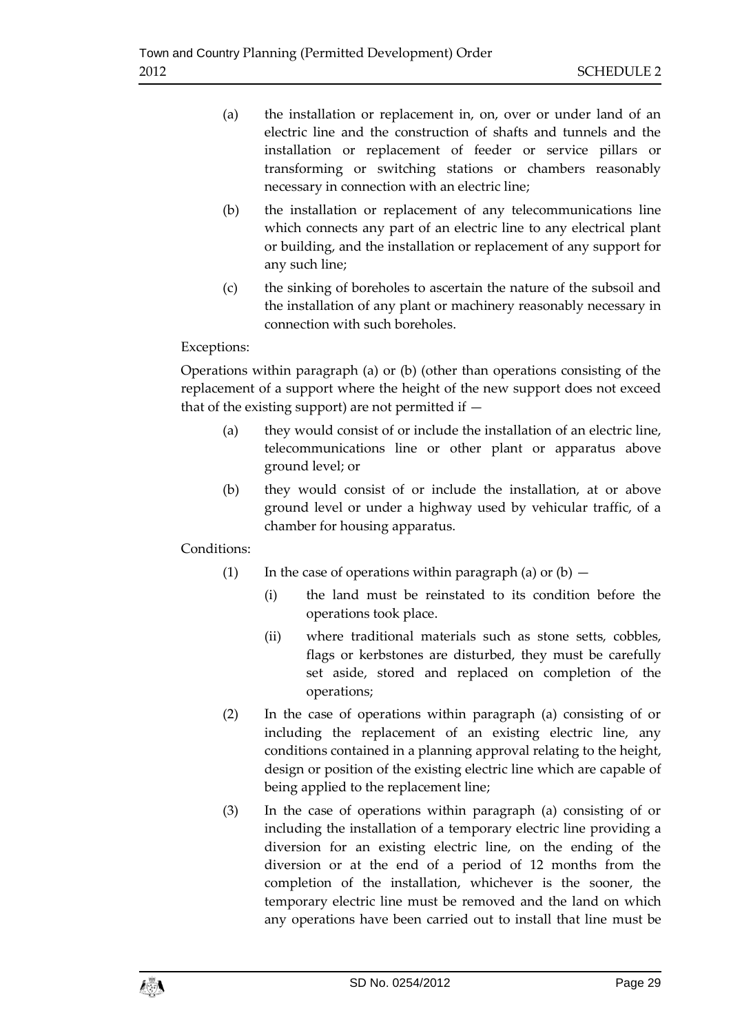- (a) the installation or replacement in, on, over or under land of an electric line and the construction of shafts and tunnels and the installation or replacement of feeder or service pillars or transforming or switching stations or chambers reasonably necessary in connection with an electric line;
- (b) the installation or replacement of any telecommunications line which connects any part of an electric line to any electrical plant or building, and the installation or replacement of any support for any such line;
- (c) the sinking of boreholes to ascertain the nature of the subsoil and the installation of any plant or machinery reasonably necessary in connection with such boreholes.

## Exceptions:

Operations within paragraph (a) or (b) (other than operations consisting of the replacement of a support where the height of the new support does not exceed that of the existing support) are not permitted if —

- (a) they would consist of or include the installation of an electric line, telecommunications line or other plant or apparatus above ground level; or
- (b) they would consist of or include the installation, at or above ground level or under a highway used by vehicular traffic, of a chamber for housing apparatus.

# Conditions:

- (1) In the case of operations within paragraph (a) or  $(b)$ 
	- (i) the land must be reinstated to its condition before the operations took place.
	- (ii) where traditional materials such as stone setts, cobbles, flags or kerbstones are disturbed, they must be carefully set aside, stored and replaced on completion of the operations;
- (2) In the case of operations within paragraph (a) consisting of or including the replacement of an existing electric line, any conditions contained in a planning approval relating to the height, design or position of the existing electric line which are capable of being applied to the replacement line;
- (3) In the case of operations within paragraph (a) consisting of or including the installation of a temporary electric line providing a diversion for an existing electric line, on the ending of the diversion or at the end of a period of 12 months from the completion of the installation, whichever is the sooner, the temporary electric line must be removed and the land on which any operations have been carried out to install that line must be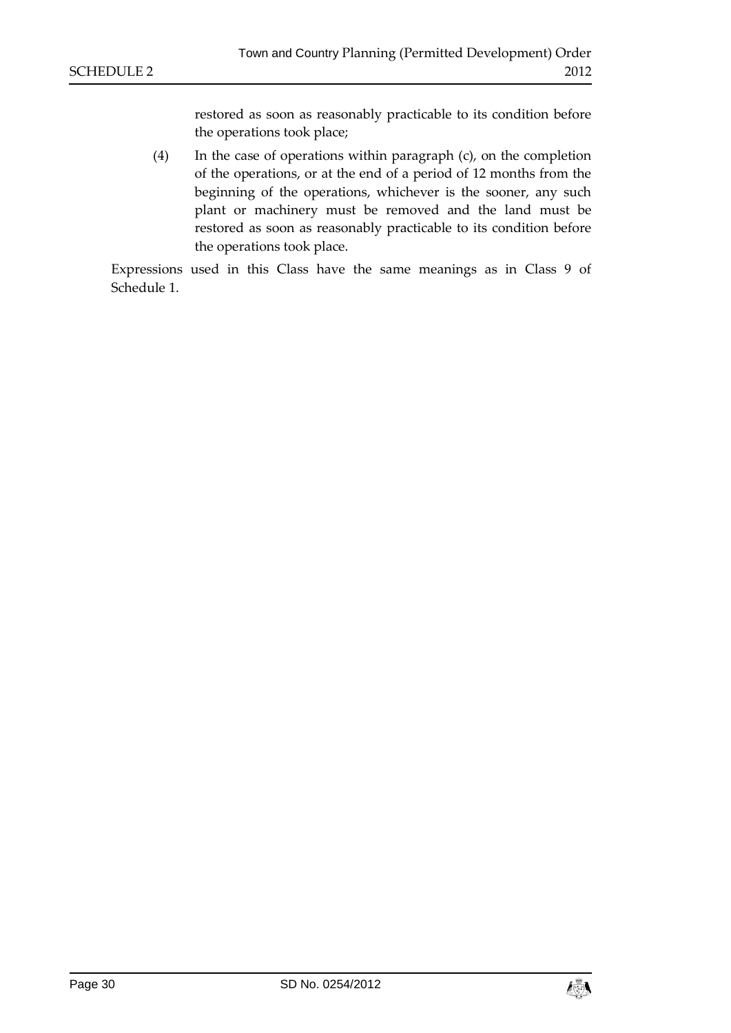restored as soon as reasonably practicable to its condition before the operations took place;

(4) In the case of operations within paragraph (c), on the completion of the operations, or at the end of a period of 12 months from the beginning of the operations, whichever is the sooner, any such plant or machinery must be removed and the land must be restored as soon as reasonably practicable to its condition before the operations took place.

Expressions used in this Class have the same meanings as in Class 9 of Schedule 1.

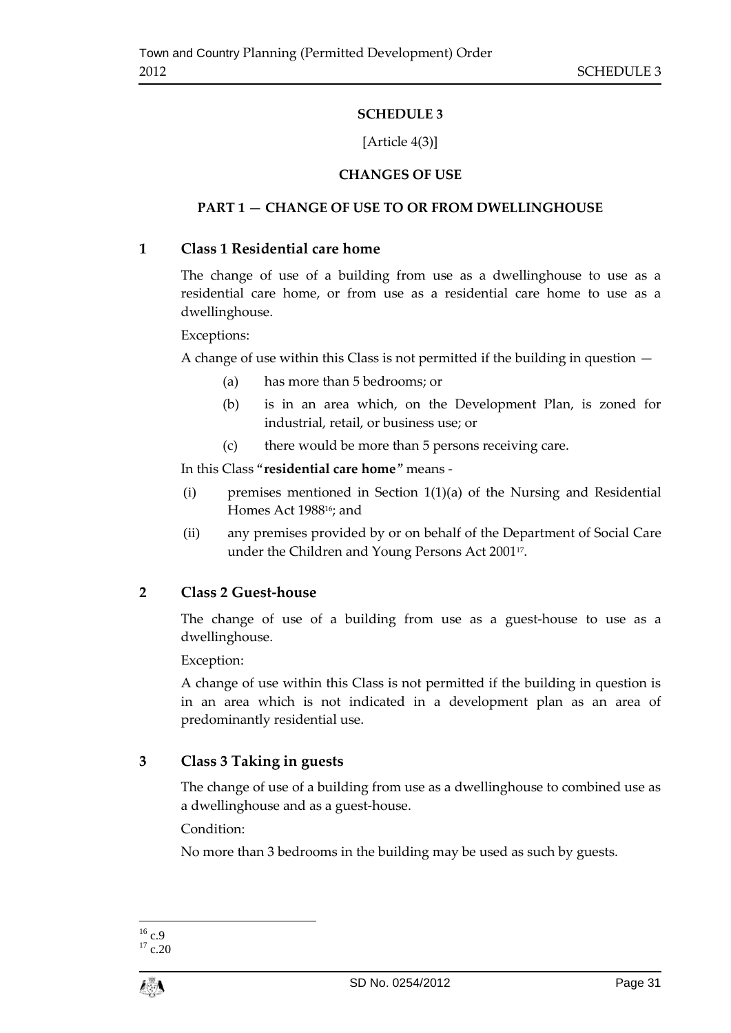# **SCHEDULE 3**

# [Article 4(3)]

# **CHANGES OF USE**

# <span id="page-30-1"></span><span id="page-30-0"></span>**PART 1 — CHANGE OF USE TO OR FROM DWELLINGHOUSE**

# **1 Class 1 Residential care home**

The change of use of a building from use as a dwellinghouse to use as a residential care home, or from use as a residential care home to use as a dwellinghouse.

Exceptions:

A change of use within this Class is not permitted if the building in question —

- (a) has more than 5 bedrooms; or
- (b) is in an area which, on the Development Plan, is zoned for industrial, retail, or business use; or
- (c) there would be more than 5 persons receiving care.

In this Class "**residential care home**" means -

- (i) premises mentioned in Section 1(1)(a) of the Nursing and Residential Homes Act 198816; and
- (ii) any premises provided by or on behalf of the Department of Social Care under the Children and Young Persons Act 2001<sup>17</sup> .

# **2 Class 2 Guest-house**

The change of use of a building from use as a guest-house to use as a dwellinghouse.

Exception:

A change of use within this Class is not permitted if the building in question is in an area which is not indicated in a development plan as an area of predominantly residential use.

# **3 Class 3 Taking in guests**

The change of use of a building from use as a dwellinghouse to combined use as a dwellinghouse and as a guest-house.

Condition:

No more than 3 bedrooms in the building may be used as such by guests.

<sup>1</sup>  $^{16}$  c.9

 $17$  c.20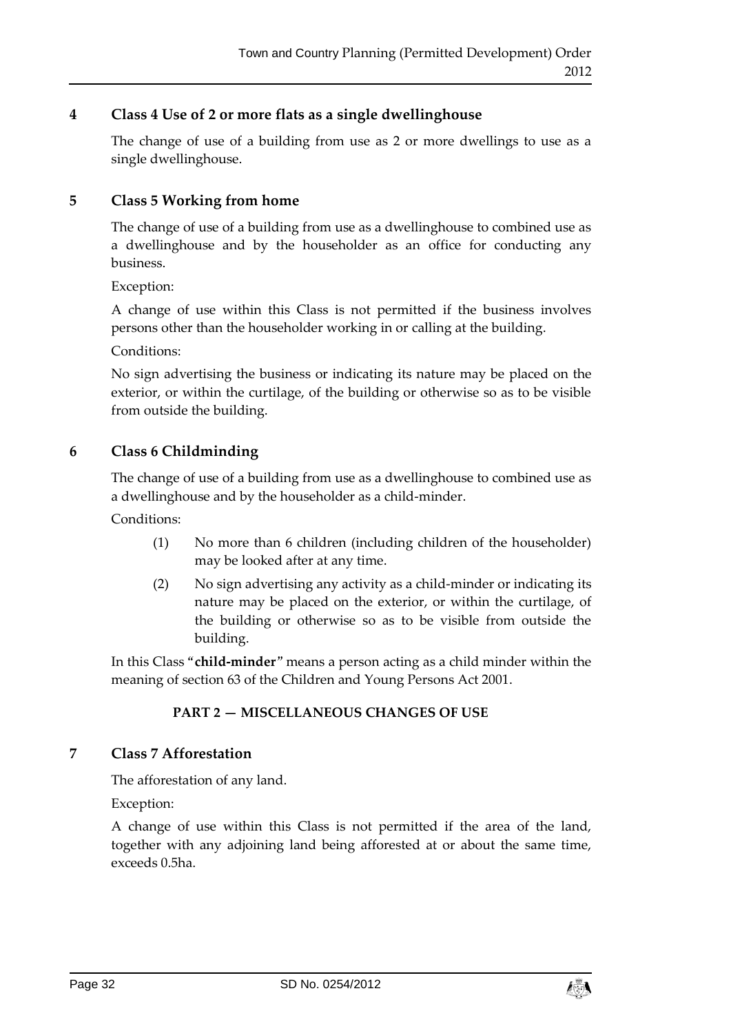# **4 Class 4 Use of 2 or more flats as a single dwellinghouse**

The change of use of a building from use as 2 or more dwellings to use as a single dwellinghouse.

# **5 Class 5 Working from home**

The change of use of a building from use as a dwellinghouse to combined use as a dwellinghouse and by the householder as an office for conducting any business.

Exception:

A change of use within this Class is not permitted if the business involves persons other than the householder working in or calling at the building.

Conditions:

No sign advertising the business or indicating its nature may be placed on the exterior, or within the curtilage, of the building or otherwise so as to be visible from outside the building.

# **6 Class 6 Childminding**

The change of use of a building from use as a dwellinghouse to combined use as a dwellinghouse and by the householder as a child-minder.

Conditions:

- (1) No more than 6 children (including children of the householder) may be looked after at any time.
- (2) No sign advertising any activity as a child-minder or indicating its nature may be placed on the exterior, or within the curtilage, of the building or otherwise so as to be visible from outside the building.

In this Class "**child-minder**" means a person acting as a child minder within the meaning of section 63 of the Children and Young Persons Act 2001.

# **PART 2 — MISCELLANEOUS CHANGES OF USE**

# **7 Class 7 Afforestation**

The afforestation of any land.

Exception:

A change of use within this Class is not permitted if the area of the land, together with any adjoining land being afforested at or about the same time, exceeds 0.5ha.

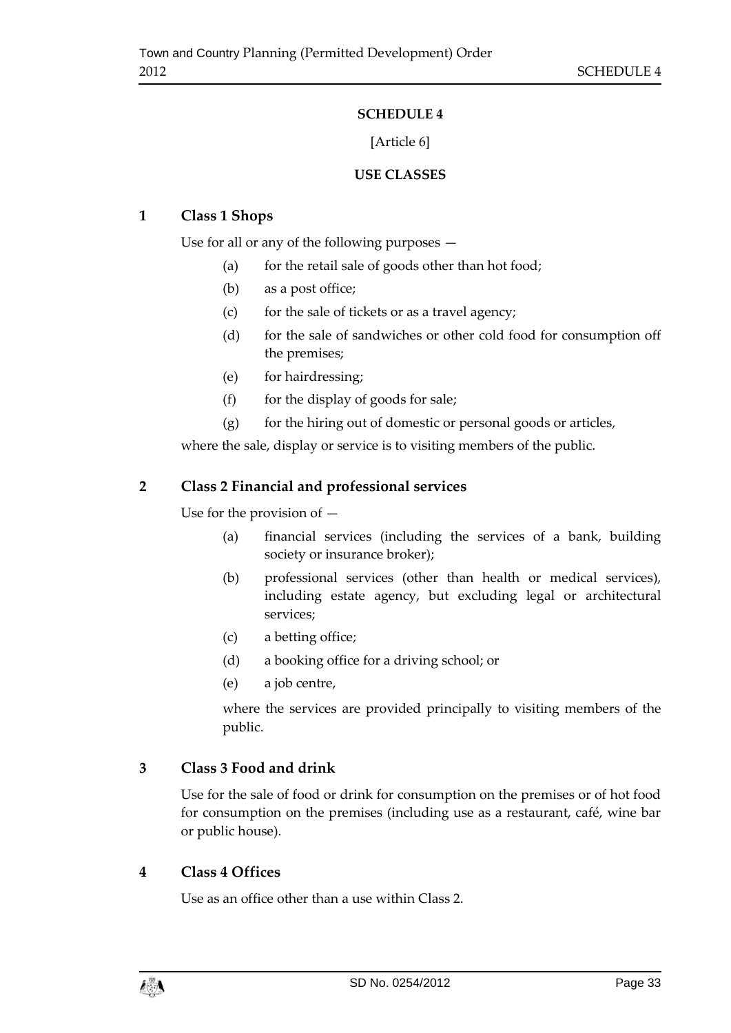# **SCHEDULE 4**

# [Article 6]

# **USE CLASSES**

# <span id="page-32-1"></span><span id="page-32-0"></span>**1 Class 1 Shops**

Use for all or any of the following purposes —

- (a) for the retail sale of goods other than hot food;
- (b) as a post office;
- (c) for the sale of tickets or as a travel agency;
- (d) for the sale of sandwiches or other cold food for consumption off the premises;
- (e) for hairdressing;
- $(f)$  for the display of goods for sale;
- $(g)$  for the hiring out of domestic or personal goods or articles,

where the sale, display or service is to visiting members of the public.

# **2 Class 2 Financial and professional services**

Use for the provision of —

- (a) financial services (including the services of a bank, building society or insurance broker);
- (b) professional services (other than health or medical services), including estate agency, but excluding legal or architectural services;
- (c) a betting office;
- (d) a booking office for a driving school; or
- (e) a job centre,

where the services are provided principally to visiting members of the public.

# **3 Class 3 Food and drink**

Use for the sale of food or drink for consumption on the premises or of hot food for consumption on the premises (including use as a restaurant, café, wine bar or public house).

# **4 Class 4 Offices**

Use as an office other than a use within Class 2.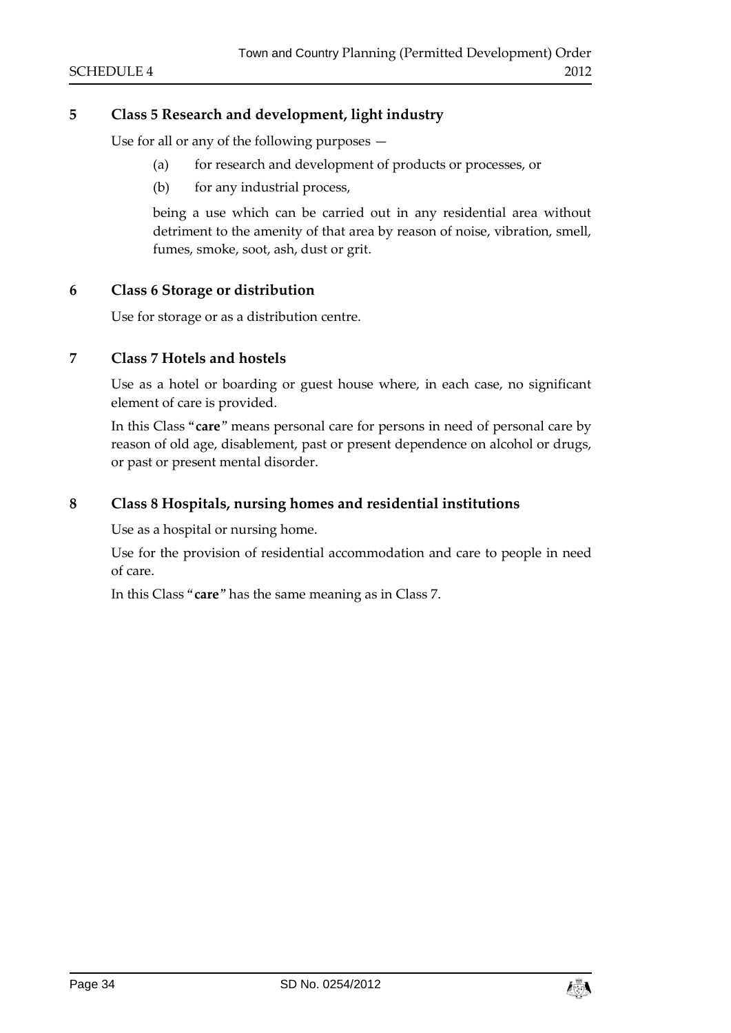# **5 Class 5 Research and development, light industry**

Use for all or any of the following purposes —

- (a) for research and development of products or processes, or
- (b) for any industrial process,

being a use which can be carried out in any residential area without detriment to the amenity of that area by reason of noise, vibration, smell, fumes, smoke, soot, ash, dust or grit.

## **6 Class 6 Storage or distribution**

Use for storage or as a distribution centre.

# **7 Class 7 Hotels and hostels**

Use as a hotel or boarding or guest house where, in each case, no significant element of care is provided.

In this Class "**care**" means personal care for persons in need of personal care by reason of old age, disablement, past or present dependence on alcohol or drugs, or past or present mental disorder.

#### **8 Class 8 Hospitals, nursing homes and residential institutions**

Use as a hospital or nursing home.

Use for the provision of residential accommodation and care to people in need of care.

In this Class "**care**" has the same meaning as in Class 7.